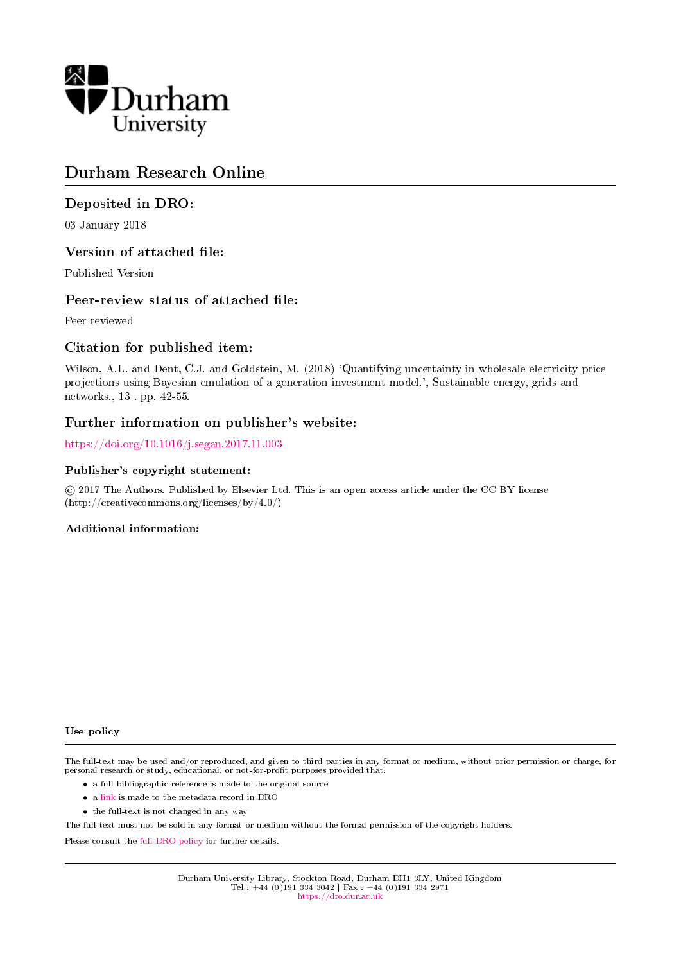

# Durham Research Online

# Deposited in DRO:

03 January 2018

# Version of attached file:

Published Version

# Peer-review status of attached file:

Peer-reviewed

# Citation for published item:

Wilson, A.L. and Dent, C.J. and Goldstein, M. (2018) 'Quantifying uncertainty in wholesale electricity price projections using Bayesian emulation of a generation investment model.', Sustainable energy, grids and networks., 13 . pp. 42-55.

# Further information on publisher's website:

<https://doi.org/10.1016/j.segan.2017.11.003>

# Publisher's copyright statement:

 c 2017 The Authors. Published by Elsevier Ltd. This is an open access article under the CC BY license (http://creativecommons.org/licenses/by/4.0/)

# Additional information:

Use policy

The full-text may be used and/or reproduced, and given to third parties in any format or medium, without prior permission or charge, for personal research or study, educational, or not-for-profit purposes provided that:

- a full bibliographic reference is made to the original source
- a [link](http://dro.dur.ac.uk/23779/) is made to the metadata record in DRO
- the full-text is not changed in any way

The full-text must not be sold in any format or medium without the formal permission of the copyright holders.

Please consult the [full DRO policy](https://dro.dur.ac.uk/policies/usepolicy.pdf) for further details.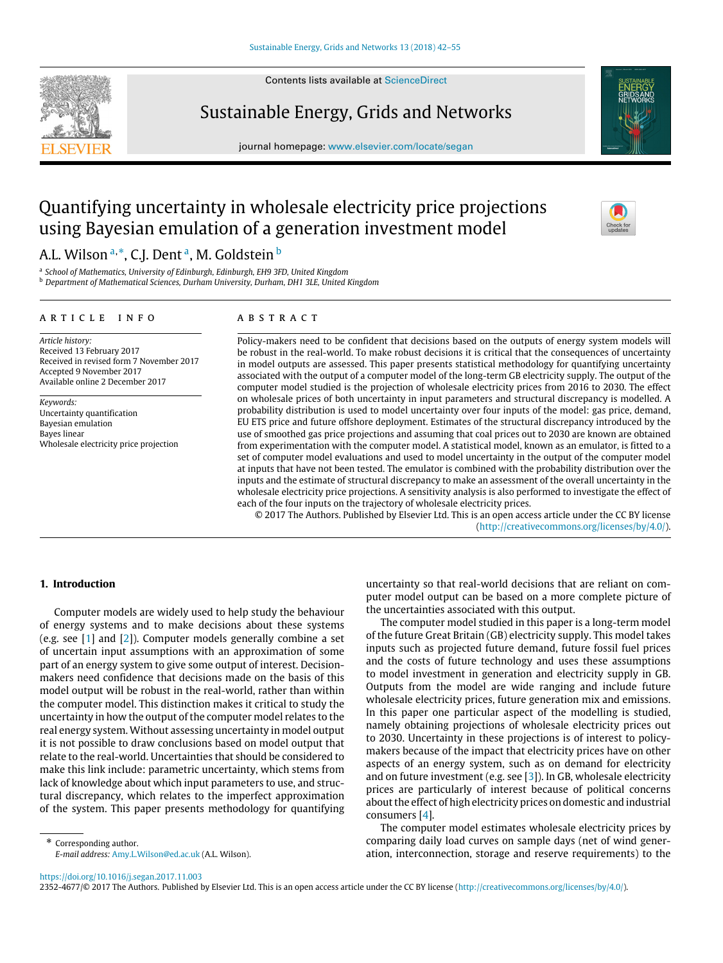

Contents lists available at [ScienceDirect](http://www.elsevier.com/locate/segan)

# Sustainable Energy, Grids and Networks

journal homepage: [www.elsevier.com/locate/segan](http://www.elsevier.com/locate/segan)



# Quantifying uncertainty in wholesale electricity price projections using Bayesian emulation of a generation investment model

A.L. Wilson <sup>[a,](#page-1-0)</sup>[\\*](#page-1-1), C.J. Dent <sup>[a](#page-1-0)</sup>, M. Goldstein <sup>[b](#page-1-2)</sup>

<span id="page-1-0"></span>a *School of Mathematics, University of Edinburgh, Edinburgh, EH9 3FD, United Kingdom*

<span id="page-1-2"></span><sup>b</sup> *Department of Mathematical Sciences, Durham University, Durham, DH1 3LE, United Kingdom*

## ARTICLE INFO

## a b s t r a c t

*Article history:* Received 13 February 2017 Received in revised form 7 November 2017 Accepted 9 November 2017 Available online 2 December 2017

*Keywords:* Uncertainty quantification Bayesian emulation Bayes linear Wholesale electricity price projection

Policy-makers need to be confident that decisions based on the outputs of energy system models will be robust in the real-world. To make robust decisions it is critical that the consequences of uncertainty in model outputs are assessed. This paper presents statistical methodology for quantifying uncertainty associated with the output of a computer model of the long-term GB electricity supply. The output of the computer model studied is the projection of wholesale electricity prices from 2016 to 2030. The effect on wholesale prices of both uncertainty in input parameters and structural discrepancy is modelled. A probability distribution is used to model uncertainty over four inputs of the model: gas price, demand, EU ETS price and future offshore deployment. Estimates of the structural discrepancy introduced by the use of smoothed gas price projections and assuming that coal prices out to 2030 are known are obtained from experimentation with the computer model. A statistical model, known as an emulator, is fitted to a set of computer model evaluations and used to model uncertainty in the output of the computer model at inputs that have not been tested. The emulator is combined with the probability distribution over the inputs and the estimate of structural discrepancy to make an assessment of the overall uncertainty in the wholesale electricity price projections. A sensitivity analysis is also performed to investigate the effect of each of the four inputs on the trajectory of wholesale electricity prices.

© 2017 The Authors. Published by Elsevier Ltd. This is an open access article under the CC BY license [\(http://creativecommons.org/licenses/by/4.0/\)](http://creativecommons.org/licenses/by/4.0/).

## **1. Introduction**

Computer models are widely used to help study the behaviour of energy systems and to make decisions about these systems (e.g. see [\[1\]](#page-13-0) and [\[2\]](#page-13-1)). Computer models generally combine a set of uncertain input assumptions with an approximation of some part of an energy system to give some output of interest. Decisionmakers need confidence that decisions made on the basis of this model output will be robust in the real-world, rather than within the computer model. This distinction makes it critical to study the uncertainty in how the output of the computer model relates to the real energy system. Without assessing uncertainty in model output it is not possible to draw conclusions based on model output that relate to the real-world. Uncertainties that should be considered to make this link include: parametric uncertainty, which stems from lack of knowledge about which input parameters to use, and structural discrepancy, which relates to the imperfect approximation of the system. This paper presents methodology for quantifying

<span id="page-1-1"></span>\* Corresponding author. *E-mail address:* [Amy.L.Wilson@ed.ac.uk](mailto:Amy.L.Wilson@ed.ac.uk) (A.L. Wilson). uncertainty so that real-world decisions that are reliant on computer model output can be based on a more complete picture of the uncertainties associated with this output.

The computer model studied in this paper is a long-term model of the future Great Britain (GB) electricity supply. This model takes inputs such as projected future demand, future fossil fuel prices and the costs of future technology and uses these assumptions to model investment in generation and electricity supply in GB. Outputs from the model are wide ranging and include future wholesale electricity prices, future generation mix and emissions. In this paper one particular aspect of the modelling is studied, namely obtaining projections of wholesale electricity prices out to 2030. Uncertainty in these projections is of interest to policymakers because of the impact that electricity prices have on other aspects of an energy system, such as on demand for electricity and on future investment (e.g. see [\[3\]](#page-13-2)). In GB, wholesale electricity prices are particularly of interest because of political concerns about the effect of high electricity prices on domestic and industrial consumers [\[4\]](#page-13-3).

The computer model estimates wholesale electricity prices by comparing daily load curves on sample days (net of wind generation, interconnection, storage and reserve requirements) to the

<https://doi.org/10.1016/j.segan.2017.11.003>

2352-4677/© 2017 The Authors. Published by Elsevier Ltd. This is an open access article under the CC BY license [\(http://creativecommons.org/licenses/by/4.0/\)](http://creativecommons.org/licenses/by/4.0/).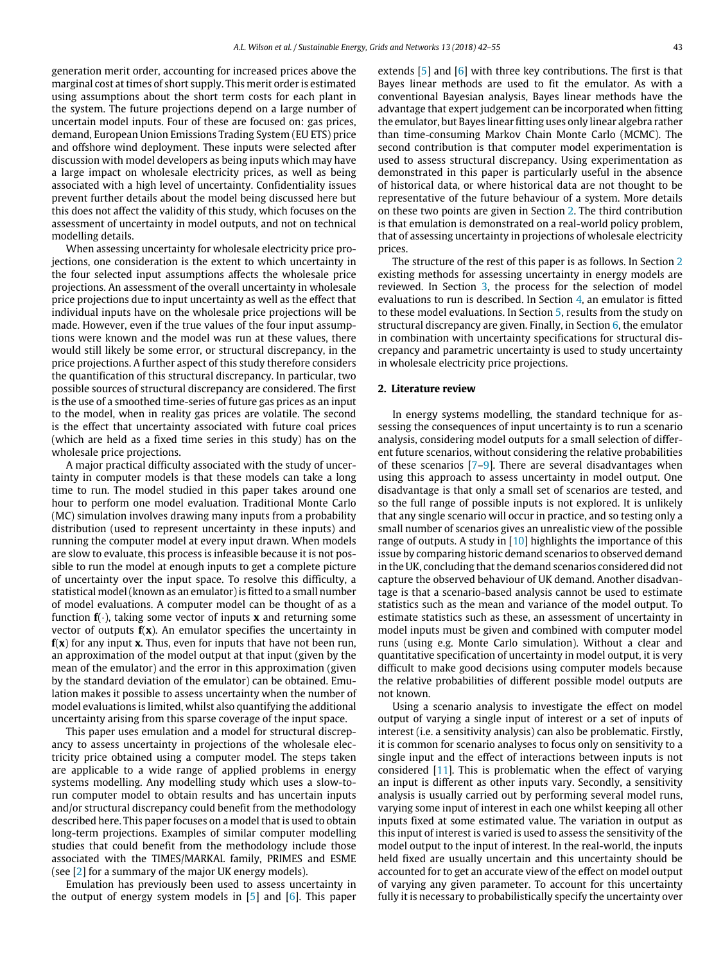generation merit order, accounting for increased prices above the marginal cost at times of short supply. This merit order is estimated using assumptions about the short term costs for each plant in the system. The future projections depend on a large number of uncertain model inputs. Four of these are focused on: gas prices, demand, European Union Emissions Trading System (EU ETS) price and offshore wind deployment. These inputs were selected after discussion with model developers as being inputs which may have a large impact on wholesale electricity prices, as well as being associated with a high level of uncertainty. Confidentiality issues prevent further details about the model being discussed here but this does not affect the validity of this study, which focuses on the assessment of uncertainty in model outputs, and not on technical modelling details.

When assessing uncertainty for wholesale electricity price projections, one consideration is the extent to which uncertainty in the four selected input assumptions affects the wholesale price projections. An assessment of the overall uncertainty in wholesale price projections due to input uncertainty as well as the effect that individual inputs have on the wholesale price projections will be made. However, even if the true values of the four input assumptions were known and the model was run at these values, there would still likely be some error, or structural discrepancy, in the price projections. A further aspect of this study therefore considers the quantification of this structural discrepancy. In particular, two possible sources of structural discrepancy are considered. The first is the use of a smoothed time-series of future gas prices as an input to the model, when in reality gas prices are volatile. The second is the effect that uncertainty associated with future coal prices (which are held as a fixed time series in this study) has on the wholesale price projections.

A major practical difficulty associated with the study of uncertainty in computer models is that these models can take a long time to run. The model studied in this paper takes around one hour to perform one model evaluation. Traditional Monte Carlo (MC) simulation involves drawing many inputs from a probability distribution (used to represent uncertainty in these inputs) and running the computer model at every input drawn. When models are slow to evaluate, this process is infeasible because it is not possible to run the model at enough inputs to get a complete picture of uncertainty over the input space. To resolve this difficulty, a statistical model (known as an emulator) is fitted to a small number of model evaluations. A computer model can be thought of as a function  $f(\cdot)$ , taking some vector of inputs **x** and returning some vector of outputs **f**(**x**). An emulator specifies the uncertainty in **f**(**x**) for any input **x**. Thus, even for inputs that have not been run, an approximation of the model output at that input (given by the mean of the emulator) and the error in this approximation (given by the standard deviation of the emulator) can be obtained. Emulation makes it possible to assess uncertainty when the number of model evaluations is limited, whilst also quantifying the additional uncertainty arising from this sparse coverage of the input space.

This paper uses emulation and a model for structural discrepancy to assess uncertainty in projections of the wholesale electricity price obtained using a computer model. The steps taken are applicable to a wide range of applied problems in energy systems modelling. Any modelling study which uses a slow-torun computer model to obtain results and has uncertain inputs and/or structural discrepancy could benefit from the methodology described here. This paper focuses on a model that is used to obtain long-term projections. Examples of similar computer modelling studies that could benefit from the methodology include those associated with the TIMES/MARKAL family, PRIMES and ESME (see [\[2\]](#page-13-1) for a summary of the major UK energy models).

Emulation has previously been used to assess uncertainty in the output of energy system models in [\[5\]](#page-13-4) and [\[6\]](#page-13-5). This paper extends [\[5\]](#page-13-4) and [\[6\]](#page-13-5) with three key contributions. The first is that Bayes linear methods are used to fit the emulator. As with a conventional Bayesian analysis, Bayes linear methods have the advantage that expert judgement can be incorporated when fitting the emulator, but Bayes linear fitting uses only linear algebra rather than time-consuming Markov Chain Monte Carlo (MCMC). The second contribution is that computer model experimentation is used to assess structural discrepancy. Using experimentation as demonstrated in this paper is particularly useful in the absence of historical data, or where historical data are not thought to be representative of the future behaviour of a system. More details on these two points are given in Section [2.](#page-2-0) The third contribution is that emulation is demonstrated on a real-world policy problem, that of assessing uncertainty in projections of wholesale electricity prices.

The structure of the rest of this paper is as follows. In Section [2](#page-2-0) existing methods for assessing uncertainty in energy models are reviewed. In Section [3,](#page-3-0) the process for the selection of model evaluations to run is described. In Section  $4$ , an emulator is fitted to these model evaluations. In Section [5,](#page-7-0) results from the study on structural discrepancy are given. Finally, in Section  $6$ , the emulator in combination with uncertainty specifications for structural discrepancy and parametric uncertainty is used to study uncertainty in wholesale electricity price projections.

## <span id="page-2-0"></span>**2. Literature review**

In energy systems modelling, the standard technique for assessing the consequences of input uncertainty is to run a scenario analysis, considering model outputs for a small selection of different future scenarios, without considering the relative probabilities of these scenarios  $[7-9]$  $[7-9]$ . There are several disadvantages when using this approach to assess uncertainty in model output. One disadvantage is that only a small set of scenarios are tested, and so the full range of possible inputs is not explored. It is unlikely that any single scenario will occur in practice, and so testing only a small number of scenarios gives an unrealistic view of the possible range of outputs. A study in  $[10]$  highlights the importance of this issue by comparing historic demand scenarios to observed demand in the UK, concluding that the demand scenarios considered did not capture the observed behaviour of UK demand. Another disadvantage is that a scenario-based analysis cannot be used to estimate statistics such as the mean and variance of the model output. To estimate statistics such as these, an assessment of uncertainty in model inputs must be given and combined with computer model runs (using e.g. Monte Carlo simulation). Without a clear and quantitative specification of uncertainty in model output, it is very difficult to make good decisions using computer models because the relative probabilities of different possible model outputs are not known.

Using a scenario analysis to investigate the effect on model output of varying a single input of interest or a set of inputs of interest (i.e. a sensitivity analysis) can also be problematic. Firstly, it is common for scenario analyses to focus only on sensitivity to a single input and the effect of interactions between inputs is not considered [\[11\]](#page-13-9). This is problematic when the effect of varying an input is different as other inputs vary. Secondly, a sensitivity analysis is usually carried out by performing several model runs, varying some input of interest in each one whilst keeping all other inputs fixed at some estimated value. The variation in output as this input of interest is varied is used to assess the sensitivity of the model output to the input of interest. In the real-world, the inputs held fixed are usually uncertain and this uncertainty should be accounted for to get an accurate view of the effect on model output of varying any given parameter. To account for this uncertainty fully it is necessary to probabilistically specify the uncertainty over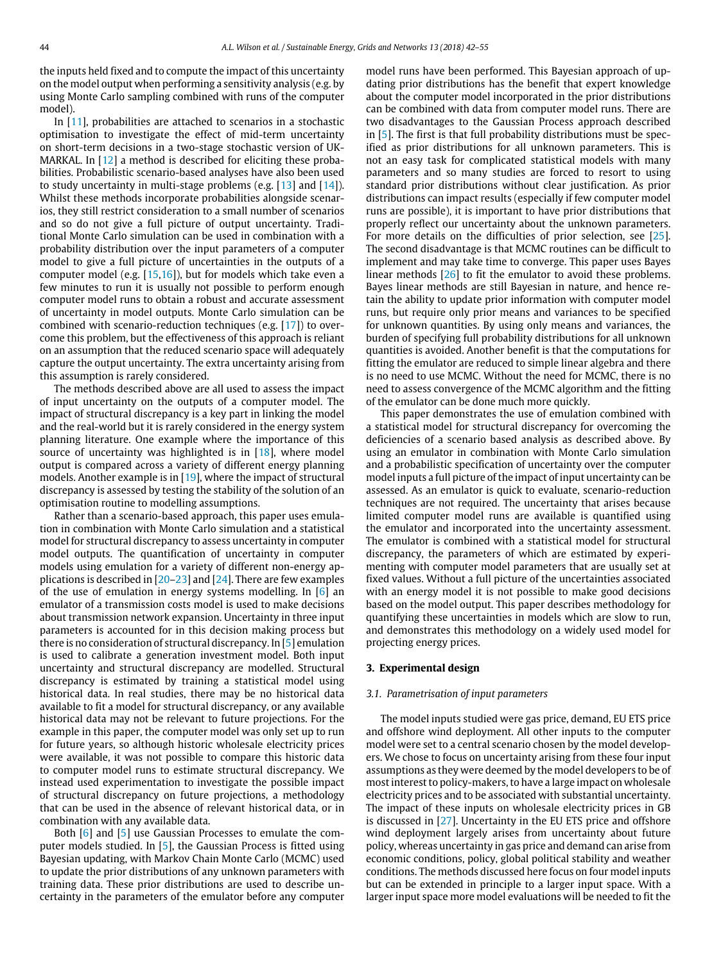the inputs held fixed and to compute the impact of this uncertainty on the model output when performing a sensitivity analysis (e.g. by using Monte Carlo sampling combined with runs of the computer model).

In [\[11\]](#page-13-9), probabilities are attached to scenarios in a stochastic optimisation to investigate the effect of mid-term uncertainty on short-term decisions in a two-stage stochastic version of UK-MARKAL. In [\[12\]](#page-13-10) a method is described for eliciting these probabilities. Probabilistic scenario-based analyses have also been used to study uncertainty in multi-stage problems (e.g. [\[13\]](#page-13-11) and [\[14\]](#page-13-12)). Whilst these methods incorporate probabilities alongside scenarios, they still restrict consideration to a small number of scenarios and so do not give a full picture of output uncertainty. Traditional Monte Carlo simulation can be used in combination with a probability distribution over the input parameters of a computer model to give a full picture of uncertainties in the outputs of a computer model (e.g. [\[15,](#page-13-13)[16\]](#page-13-14)), but for models which take even a few minutes to run it is usually not possible to perform enough computer model runs to obtain a robust and accurate assessment of uncertainty in model outputs. Monte Carlo simulation can be combined with scenario-reduction techniques (e.g. [\[17\]](#page-13-15)) to overcome this problem, but the effectiveness of this approach is reliant on an assumption that the reduced scenario space will adequately capture the output uncertainty. The extra uncertainty arising from this assumption is rarely considered.

The methods described above are all used to assess the impact of input uncertainty on the outputs of a computer model. The impact of structural discrepancy is a key part in linking the model and the real-world but it is rarely considered in the energy system planning literature. One example where the importance of this source of uncertainty was highlighted is in  $[18]$ , where model output is compared across a variety of different energy planning models. Another example is in [\[19\]](#page-13-17), where the impact of structural discrepancy is assessed by testing the stability of the solution of an optimisation routine to modelling assumptions.

Rather than a scenario-based approach, this paper uses emulation in combination with Monte Carlo simulation and a statistical model for structural discrepancy to assess uncertainty in computer model outputs. The quantification of uncertainty in computer models using emulation for a variety of different non-energy applications is described in [\[20–](#page-13-18)[23\]](#page-13-19) and [\[24\]](#page-13-20). There are few examples of the use of emulation in energy systems modelling. In  $[6]$  an emulator of a transmission costs model is used to make decisions about transmission network expansion. Uncertainty in three input parameters is accounted for in this decision making process but there is no consideration of structural discrepancy. In [\[5\]](#page-13-4) emulation is used to calibrate a generation investment model. Both input uncertainty and structural discrepancy are modelled. Structural discrepancy is estimated by training a statistical model using historical data. In real studies, there may be no historical data available to fit a model for structural discrepancy, or any available historical data may not be relevant to future projections. For the example in this paper, the computer model was only set up to run for future years, so although historic wholesale electricity prices were available, it was not possible to compare this historic data to computer model runs to estimate structural discrepancy. We instead used experimentation to investigate the possible impact of structural discrepancy on future projections, a methodology that can be used in the absence of relevant historical data, or in combination with any available data.

Both [\[6\]](#page-13-5) and [\[5\]](#page-13-4) use Gaussian Processes to emulate the computer models studied. In [\[5\]](#page-13-4), the Gaussian Process is fitted using Bayesian updating, with Markov Chain Monte Carlo (MCMC) used to update the prior distributions of any unknown parameters with training data. These prior distributions are used to describe uncertainty in the parameters of the emulator before any computer model runs have been performed. This Bayesian approach of updating prior distributions has the benefit that expert knowledge about the computer model incorporated in the prior distributions can be combined with data from computer model runs. There are two disadvantages to the Gaussian Process approach described in [\[5\]](#page-13-4). The first is that full probability distributions must be specified as prior distributions for all unknown parameters. This is not an easy task for complicated statistical models with many parameters and so many studies are forced to resort to using standard prior distributions without clear justification. As prior distributions can impact results (especially if few computer model runs are possible), it is important to have prior distributions that properly reflect our uncertainty about the unknown parameters. For more details on the difficulties of prior selection, see [\[25\]](#page-13-21). The second disadvantage is that MCMC routines can be difficult to implement and may take time to converge. This paper uses Bayes linear methods [\[26\]](#page-13-22) to fit the emulator to avoid these problems. Bayes linear methods are still Bayesian in nature, and hence retain the ability to update prior information with computer model runs, but require only prior means and variances to be specified for unknown quantities. By using only means and variances, the burden of specifying full probability distributions for all unknown quantities is avoided. Another benefit is that the computations for fitting the emulator are reduced to simple linear algebra and there is no need to use MCMC. Without the need for MCMC, there is no need to assess convergence of the MCMC algorithm and the fitting of the emulator can be done much more quickly.

This paper demonstrates the use of emulation combined with a statistical model for structural discrepancy for overcoming the deficiencies of a scenario based analysis as described above. By using an emulator in combination with Monte Carlo simulation and a probabilistic specification of uncertainty over the computer model inputs a full picture of the impact of input uncertainty can be assessed. As an emulator is quick to evaluate, scenario-reduction techniques are not required. The uncertainty that arises because limited computer model runs are available is quantified using the emulator and incorporated into the uncertainty assessment. The emulator is combined with a statistical model for structural discrepancy, the parameters of which are estimated by experimenting with computer model parameters that are usually set at fixed values. Without a full picture of the uncertainties associated with an energy model it is not possible to make good decisions based on the model output. This paper describes methodology for quantifying these uncertainties in models which are slow to run, and demonstrates this methodology on a widely used model for projecting energy prices.

## <span id="page-3-0"></span>**3. Experimental design**

#### *3.1. Parametrisation of input parameters*

The model inputs studied were gas price, demand, EU ETS price and offshore wind deployment. All other inputs to the computer model were set to a central scenario chosen by the model developers. We chose to focus on uncertainty arising from these four input assumptions as they were deemed by the model developers to be of most interest to policy-makers, to have a large impact on wholesale electricity prices and to be associated with substantial uncertainty. The impact of these inputs on wholesale electricity prices in GB is discussed in [\[27\]](#page-13-23). Uncertainty in the EU ETS price and offshore wind deployment largely arises from uncertainty about future policy, whereas uncertainty in gas price and demand can arise from economic conditions, policy, global political stability and weather conditions. The methods discussed here focus on four model inputs but can be extended in principle to a larger input space. With a larger input space more model evaluations will be needed to fit the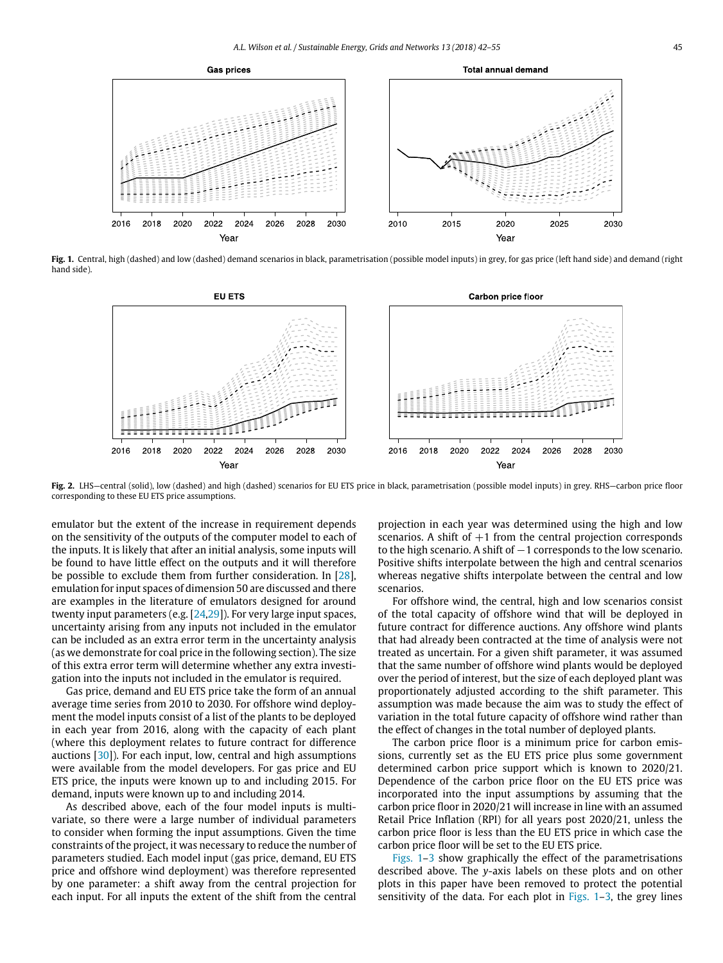<span id="page-4-0"></span>

Fig. 1. Central, high (dashed) and low (dashed) demand scenarios in black, parametrisation (possible model inputs) in grey, for gas price (left hand side) and demand (right hand side).



**Fig. 2.** LHS—central (solid), low (dashed) and high (dashed) scenarios for EU ETS price in black, parametrisation (possible model inputs) in grey. RHS—carbon price floor corresponding to these EU ETS price assumptions.

emulator but the extent of the increase in requirement depends on the sensitivity of the outputs of the computer model to each of the inputs. It is likely that after an initial analysis, some inputs will be found to have little effect on the outputs and it will therefore be possible to exclude them from further consideration. In [\[28\]](#page-13-24), emulation for input spaces of dimension 50 are discussed and there are examples in the literature of emulators designed for around twenty input parameters (e.g. [\[24](#page-13-20)[,29\]](#page-13-25)). For very large input spaces, uncertainty arising from any inputs not included in the emulator can be included as an extra error term in the uncertainty analysis (as we demonstrate for coal price in the following section). The size of this extra error term will determine whether any extra investigation into the inputs not included in the emulator is required.

Gas price, demand and EU ETS price take the form of an annual average time series from 2010 to 2030. For offshore wind deployment the model inputs consist of a list of the plants to be deployed in each year from 2016, along with the capacity of each plant (where this deployment relates to future contract for difference auctions [\[30\]](#page-13-26)). For each input, low, central and high assumptions were available from the model developers. For gas price and EU ETS price, the inputs were known up to and including 2015. For demand, inputs were known up to and including 2014.

As described above, each of the four model inputs is multivariate, so there were a large number of individual parameters to consider when forming the input assumptions. Given the time constraints of the project, it was necessary to reduce the number of parameters studied. Each model input (gas price, demand, EU ETS price and offshore wind deployment) was therefore represented by one parameter: a shift away from the central projection for each input. For all inputs the extent of the shift from the central

projection in each year was determined using the high and low scenarios. A shift of  $+1$  from the central projection corresponds to the high scenario. A shift of −1 corresponds to the low scenario. Positive shifts interpolate between the high and central scenarios whereas negative shifts interpolate between the central and low scenarios.

For offshore wind, the central, high and low scenarios consist of the total capacity of offshore wind that will be deployed in future contract for difference auctions. Any offshore wind plants that had already been contracted at the time of analysis were not treated as uncertain. For a given shift parameter, it was assumed that the same number of offshore wind plants would be deployed over the period of interest, but the size of each deployed plant was proportionately adjusted according to the shift parameter. This assumption was made because the aim was to study the effect of variation in the total future capacity of offshore wind rather than the effect of changes in the total number of deployed plants.

The carbon price floor is a minimum price for carbon emissions, currently set as the EU ETS price plus some government determined carbon price support which is known to 2020/21. Dependence of the carbon price floor on the EU ETS price was incorporated into the input assumptions by assuming that the carbon price floor in 2020/21 will increase in line with an assumed Retail Price Inflation (RPI) for all years post 2020/21, unless the carbon price floor is less than the EU ETS price in which case the carbon price floor will be set to the EU ETS price.

[Figs. 1](#page-4-0)[–3](#page-5-1) show graphically the effect of the parametrisations described above. The *y*-axis labels on these plots and on other plots in this paper have been removed to protect the potential sensitivity of the data. For each plot in Figs.  $1-3$ , the grey lines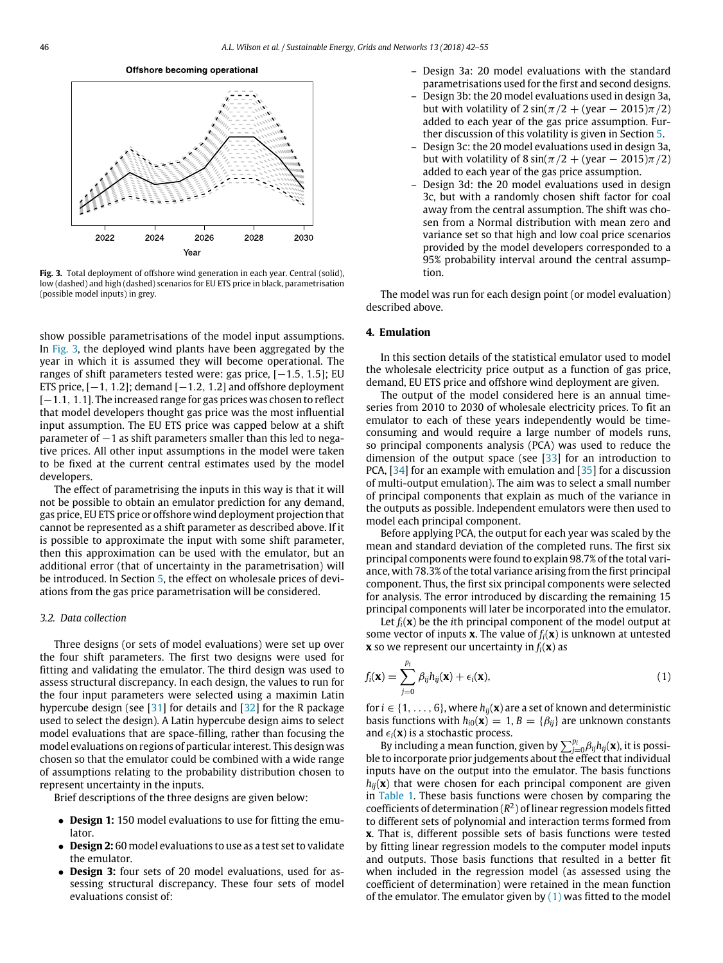Offshore becoming operational

<span id="page-5-1"></span>

**Fig. 3.** Total deployment of offshore wind generation in each year. Central (solid), low (dashed) and high (dashed) scenarios for EU ETS price in black, parametrisation (possible model inputs) in grey.

show possible parametrisations of the model input assumptions. In [Fig. 3,](#page-5-1) the deployed wind plants have been aggregated by the year in which it is assumed they will become operational. The ranges of shift parameters tested were: gas price, [−1.5, 1.5]; EU ETS price,  $[-1, 1.2]$ ; demand  $[-1.2, 1.2]$  and offshore deployment [-1.1, 1.1]. The increased range for gas prices was chosen to reflect that model developers thought gas price was the most influential input assumption. The EU ETS price was capped below at a shift parameter of  $-1$  as shift parameters smaller than this led to negative prices. All other input assumptions in the model were taken to be fixed at the current central estimates used by the model developers.

The effect of parametrising the inputs in this way is that it will not be possible to obtain an emulator prediction for any demand, gas price, EU ETS price or offshore wind deployment projection that cannot be represented as a shift parameter as described above. If it is possible to approximate the input with some shift parameter, then this approximation can be used with the emulator, but an additional error (that of uncertainty in the parametrisation) will be introduced. In Section [5,](#page-7-0) the effect on wholesale prices of deviations from the gas price parametrisation will be considered.

#### *3.2. Data collection*

Three designs (or sets of model evaluations) were set up over the four shift parameters. The first two designs were used for fitting and validating the emulator. The third design was used to assess structural discrepancy. In each design, the values to run for the four input parameters were selected using a maximin Latin hypercube design (see [\[31\]](#page-13-27) for details and [\[32\]](#page-13-28) for the R package used to select the design). A Latin hypercube design aims to select model evaluations that are space-filling, rather than focusing the model evaluations on regions of particular interest. This design was chosen so that the emulator could be combined with a wide range of assumptions relating to the probability distribution chosen to represent uncertainty in the inputs.

Brief descriptions of the three designs are given below:

- **Design 1:** 150 model evaluations to use for fitting the emulator.
- **Design 2:** 60 model evaluations to use as a test set to validate the emulator.
- **Design 3:** four sets of 20 model evaluations, used for assessing structural discrepancy. These four sets of model evaluations consist of:
- Design 3a: 20 model evaluations with the standard parametrisations used for the first and second designs.
- Design 3b: the 20 model evaluations used in design 3a, but with volatility of  $2 \sin(\pi/2 + (\text{year} - 2015)\pi/2)$ added to each year of the gas price assumption. Further discussion of this volatility is given in Section [5.](#page-7-0)
- Design 3c: the 20 model evaluations used in design 3a, but with volatility of  $8 \sin(\pi/2 + (\text{year} - 2015)\pi/2)$ added to each year of the gas price assumption.
- Design 3d: the 20 model evaluations used in design 3c, but with a randomly chosen shift factor for coal away from the central assumption. The shift was chosen from a Normal distribution with mean zero and variance set so that high and low coal price scenarios provided by the model developers corresponded to a 95% probability interval around the central assumption.

The model was run for each design point (or model evaluation) described above.

### <span id="page-5-0"></span>**4. Emulation**

In this section details of the statistical emulator used to model the wholesale electricity price output as a function of gas price, demand, EU ETS price and offshore wind deployment are given.

The output of the model considered here is an annual timeseries from 2010 to 2030 of wholesale electricity prices. To fit an emulator to each of these years independently would be timeconsuming and would require a large number of models runs, so principal components analysis (PCA) was used to reduce the dimension of the output space (see  $[33]$  for an introduction to PCA, [\[34\]](#page-13-30) for an example with emulation and [\[35\]](#page-13-31) for a discussion of multi-output emulation). The aim was to select a small number of principal components that explain as much of the variance in the outputs as possible. Independent emulators were then used to model each principal component.

Before applying PCA, the output for each year was scaled by the mean and standard deviation of the completed runs. The first six principal components were found to explain 98.7% of the total variance, with 78.3% of the total variance arising from the first principal component. Thus, the first six principal components were selected for analysis. The error introduced by discarding the remaining 15 principal components will later be incorporated into the emulator.

Let  $f_i(\mathbf{x})$  be the *i*th principal component of the model output at some vector of inputs **x**. The value of  $f_i(\mathbf{x})$  is unknown at untested **x** so we represent our uncertainty in  $f_i(\mathbf{x})$  as

<span id="page-5-2"></span>
$$
f_i(\mathbf{x}) = \sum_{j=0}^{p_i} \beta_{ij} h_{ij}(\mathbf{x}) + \epsilon_i(\mathbf{x}),
$$
\n(1)

for  $i \in \{1, \ldots, 6\}$ , where  $h_{ij}(\mathbf{x})$  are a set of known and deterministic basis functions with  $h_{i0}(\mathbf{x}) = 1$ ,  $B = \{\beta_{ij}\}\$ are unknown constants and  $\epsilon_i(\mathbf{x})$  is a stochastic process.

By including a mean function, given by  $\sum_{j=0}^{p_i} \beta_{ij} h_{ij}(\mathbf{x})$ , it is possible to incorporate prior judgements about the effect that individual inputs have on the output into the emulator. The basis functions  $h_{ii}(\mathbf{x})$  that were chosen for each principal component are given in [Table 1.](#page-6-0) These basis functions were chosen by comparing the coefficients of determination  $(R^2)$  of linear regression models fitted to different sets of polynomial and interaction terms formed from **x**. That is, different possible sets of basis functions were tested by fitting linear regression models to the computer model inputs and outputs. Those basis functions that resulted in a better fit when included in the regression model (as assessed using the coefficient of determination) were retained in the mean function of the emulator. The emulator given by  $(1)$  was fitted to the model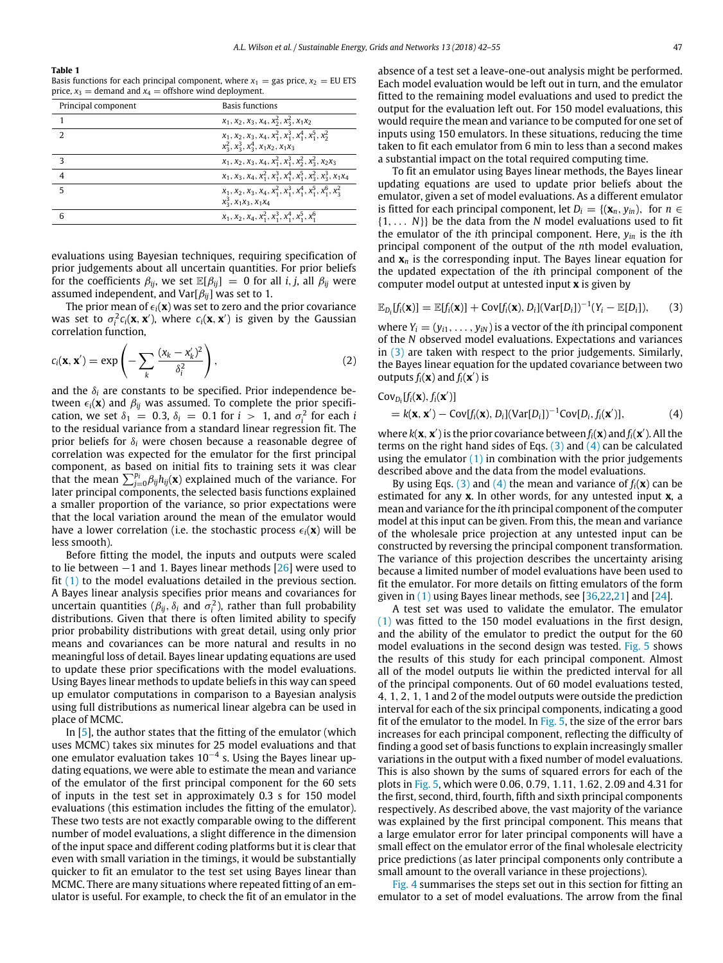#### <span id="page-6-0"></span>**Table 1**

Basis functions for each principal component, where  $x_1 =$  gas price,  $x_2 =$  EU ETS price,  $x_3$  = demand and  $x_4$  = offshore wind deployment.

| $x_1, x_2, x_3, x_4, x_2^2, x_3^2, x_1x_2$<br>$x_1, x_2, x_3, x_4, x_1^2, x_1^3, x_1^4, x_1^5, x_2^2$<br>$\mathcal{P}$<br>$x_2^2$ , $x_2^3$ , $x_2^4$ , $x_1x_2$ , $x_1x_3$ |  |
|-----------------------------------------------------------------------------------------------------------------------------------------------------------------------------|--|
|                                                                                                                                                                             |  |
|                                                                                                                                                                             |  |
| $x_1, x_2, x_3, x_4, x_1^2, x_1^3, x_2^2, x_3^2, x_2x_3$<br>3                                                                                                               |  |
| $\overline{4}$<br>$x_1, x_3, x_4, x_1^2, x_1^3, x_1^4, x_1^5, x_2^2, x_3^3, x_1x_4$                                                                                         |  |
| $\overline{5}$<br>$x_1, x_2, x_3, x_4, x_1^2, x_1^3, x_1^4, x_1^5, x_1^6, x_2^2$<br>$x_3^3$ , $x_1x_3$ , $x_1x_4$                                                           |  |
| $x_1, x_2, x_4, x_1^2, x_1^3, x_1^4, x_1^5, x_1^6$<br>6                                                                                                                     |  |

evaluations using Bayesian techniques, requiring specification of prior judgements about all uncertain quantities. For prior beliefs for the coefficients  $\beta_{ii}$ , we set  $\mathbb{E}[\beta_{ii}] = 0$  for all *i*, *j*, all  $\beta_{ii}$  were assumed independent, and  $Var[\beta_{ij}]$  was set to 1.

The prior mean of  $\epsilon_i(\mathbf{x})$  was set to zero and the prior covariance was set to  $\sigma_i^2 c_i(\mathbf{x}, \mathbf{x}')$ , where  $c_i(\mathbf{x}, \mathbf{x}')$  is given by the Gaussian correlation function,

$$
c_i(\mathbf{x}, \mathbf{x}') = \exp\left(-\sum_k \frac{(x_k - x'_k)^2}{\delta_i^2}\right),\tag{2}
$$

and the  $\delta_i$  are constants to be specified. Prior independence between  $\epsilon_i(\mathbf{x})$  and  $\beta_{ij}$  was assumed. To complete the prior specification, we set  $\delta_1 = 0.3$ ,  $\delta_i = 0.1$  for  $i > 1$ , and  $\sigma_i^2$  for each *i* to the residual variance from a standard linear regression fit. The prior beliefs for δ*<sup>i</sup>* were chosen because a reasonable degree of correlation was expected for the emulator for the first principal component, as based on initial fits to training sets it was clear that the mean  $\sum_{j=0}^{p_i} \beta_{ij} h_{ij}(\mathbf{x})$  explained much of the variance. For later principal components, the selected basis functions explained a smaller proportion of the variance, so prior expectations were that the local variation around the mean of the emulator would have a lower correlation (i.e. the stochastic process  $\epsilon_i(\mathbf{x})$  will be less smooth).

Before fitting the model, the inputs and outputs were scaled to lie between  $-1$  and 1. Bayes linear methods  $[26]$  were used to fit [\(1\)](#page-5-2) to the model evaluations detailed in the previous section. A Bayes linear analysis specifies prior means and covariances for uncertain quantities ( $\beta_{ij}$ ,  $\delta_i$  and  $\sigma_i^2$ ), rather than full probability distributions. Given that there is often limited ability to specify prior probability distributions with great detail, using only prior means and covariances can be more natural and results in no meaningful loss of detail. Bayes linear updating equations are used to update these prior specifications with the model evaluations. Using Bayes linear methods to update beliefs in this way can speed up emulator computations in comparison to a Bayesian analysis using full distributions as numerical linear algebra can be used in place of MCMC.

In [\[5\]](#page-13-4), the author states that the fitting of the emulator (which uses MCMC) takes six minutes for 25 model evaluations and that one emulator evaluation takes 10−<sup>4</sup> s. Using the Bayes linear updating equations, we were able to estimate the mean and variance of the emulator of the first principal component for the 60 sets of inputs in the test set in approximately 0.3 s for 150 model evaluations (this estimation includes the fitting of the emulator). These two tests are not exactly comparable owing to the different number of model evaluations, a slight difference in the dimension of the input space and different coding platforms but it is clear that even with small variation in the timings, it would be substantially quicker to fit an emulator to the test set using Bayes linear than MCMC. There are many situations where repeated fitting of an emulator is useful. For example, to check the fit of an emulator in the absence of a test set a leave-one-out analysis might be performed. Each model evaluation would be left out in turn, and the emulator fitted to the remaining model evaluations and used to predict the output for the evaluation left out. For 150 model evaluations, this would require the mean and variance to be computed for one set of inputs using 150 emulators. In these situations, reducing the time taken to fit each emulator from 6 min to less than a second makes a substantial impact on the total required computing time.

To fit an emulator using Bayes linear methods, the Bayes linear updating equations are used to update prior beliefs about the emulator, given a set of model evaluations. As a different emulator is fitted for each principal component, let  $D_i = \{(\mathbf{x}_n, y_{in}), \text{ for } n \in \mathbb{Z}\}$ {1, . . . *N*}} be the data from the *N* model evaluations used to fit the emulator of the *i*th principal component. Here, *yin* is the *i*th principal component of the output of the *n*th model evaluation, and **x***<sup>n</sup>* is the corresponding input. The Bayes linear equation for the updated expectation of the *i*th principal component of the computer model output at untested input **x** is given by

<span id="page-6-1"></span>
$$
\mathbb{E}_{D_i}[f_i(\mathbf{x})] = \mathbb{E}[f_i(\mathbf{x})] + \text{Cov}[f_i(\mathbf{x}), D_i](\text{Var}[D_i])^{-1}(Y_i - \mathbb{E}[D_i]), \quad (3)
$$

where  $Y_i = (y_{i1}, \ldots, y_{iN})$  is a vector of the *i*th principal component of the *N* observed model evaluations. Expectations and variances in [\(3\)](#page-6-1) are taken with respect to the prior judgements. Similarly, the Bayes linear equation for the updated covariance between two outputs  $f_i(\mathbf{x})$  and  $f_i(\mathbf{x}')$  is

<span id="page-6-2"></span>
$$
Cov_{D_i}[f_i(\mathbf{x}), f_i(\mathbf{x}')] = k(\mathbf{x}, \mathbf{x}') - Cov[f_i(\mathbf{x}), D_i](Var[D_i])^{-1}Cov[D_i, f_i(\mathbf{x}')],
$$
(4)

where  $k(\mathbf{x}, \mathbf{x}')$  is the prior covariance between  $f_i(\mathbf{x})$  and  $f_i(\mathbf{x}')$ . All the terms on the right hand sides of Eqs.  $(3)$  and  $(4)$  can be calculated using the emulator  $(1)$  in combination with the prior judgements described above and the data from the model evaluations.

By using Eqs. [\(3\)](#page-6-1) and [\(4\)](#page-6-2) the mean and variance of  $f_i(\mathbf{x})$  can be estimated for any **x**. In other words, for any untested input **x**, a mean and variance for the *i*th principal component of the computer model at this input can be given. From this, the mean and variance of the wholesale price projection at any untested input can be constructed by reversing the principal component transformation. The variance of this projection describes the uncertainty arising because a limited number of model evaluations have been used to fit the emulator. For more details on fitting emulators of the form given in  $(1)$  using Bayes linear methods, see [\[36](#page-13-32)[,22,](#page-13-33)[21\]](#page-13-34) and [\[24\]](#page-13-20).

A test set was used to validate the emulator. The emulator [\(1\)](#page-5-2) was fitted to the 150 model evaluations in the first design, and the ability of the emulator to predict the output for the 60 model evaluations in the second design was tested. [Fig. 5](#page-8-0) shows the results of this study for each principal component. Almost all of the model outputs lie within the predicted interval for all of the principal components. Out of 60 model evaluations tested, 4, 1, 2, 1, 1 and 2 of the model outputs were outside the prediction interval for each of the six principal components, indicating a good fit of the emulator to the model. In [Fig. 5,](#page-8-0) the size of the error bars increases for each principal component, reflecting the difficulty of finding a good set of basis functions to explain increasingly smaller variations in the output with a fixed number of model evaluations. This is also shown by the sums of squared errors for each of the plots in [Fig. 5,](#page-8-0) which were 0.06, 0.79, 1.11, 1.62, 2.09 and 4.31 for the first, second, third, fourth, fifth and sixth principal components respectively. As described above, the vast majority of the variance was explained by the first principal component. This means that a large emulator error for later principal components will have a small effect on the emulator error of the final wholesale electricity price predictions (as later principal components only contribute a small amount to the overall variance in these projections).

[Fig. 4](#page-7-1) summarises the steps set out in this section for fitting an emulator to a set of model evaluations. The arrow from the final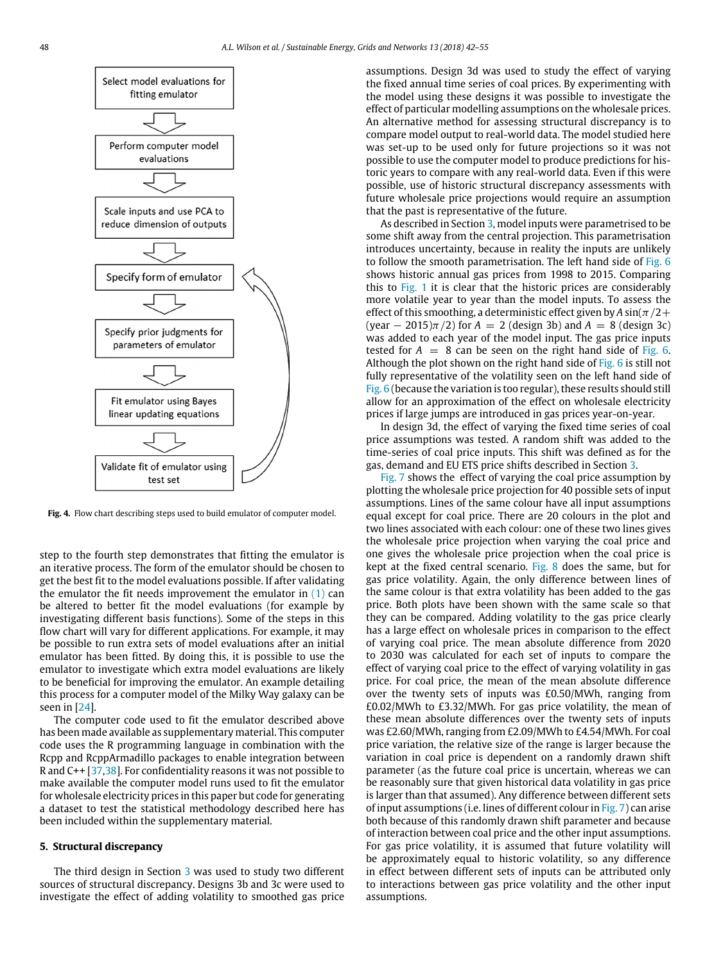<span id="page-7-1"></span>

**Fig. 4.** Flow chart describing steps used to build emulator of computer model.

step to the fourth step demonstrates that fitting the emulator is an iterative process. The form of the emulator should be chosen to get the best fit to the model evaluations possible. If after validating the emulator the fit needs improvement the emulator in  $(1)$  can be altered to better fit the model evaluations (for example by investigating different basis functions). Some of the steps in this flow chart will vary for different applications. For example, it may be possible to run extra sets of model evaluations after an initial emulator has been fitted. By doing this, it is possible to use the emulator to investigate which extra model evaluations are likely to be beneficial for improving the emulator. An example detailing this process for a computer model of the Milky Way galaxy can be seen in [\[24\]](#page-13-20).

The computer code used to fit the emulator described above has been made available as supplementary material. This computer code uses the R programming language in combination with the Rcpp and RcppArmadillo packages to enable integration between R and C++ [\[37,](#page-13-35)[38\]](#page-14-0). For confidentiality reasons it was not possible to make available the computer model runs used to fit the emulator for wholesale electricity prices in this paper but code for generating a dataset to test the statistical methodology described here has been included within the supplementary material.

## <span id="page-7-0"></span>**5. Structural discrepancy**

The third design in Section [3](#page-3-0) was used to study two different sources of structural discrepancy. Designs 3b and 3c were used to investigate the effect of adding volatility to smoothed gas price assumptions. Design 3d was used to study the effect of varying the fixed annual time series of coal prices. By experimenting with the model using these designs it was possible to investigate the effect of particular modelling assumptions on the wholesale prices. An alternative method for assessing structural discrepancy is to compare model output to real-world data. The model studied here was set-up to be used only for future projections so it was not possible to use the computer model to produce predictions for historic years to compare with any real-world data. Even if this were possible, use of historic structural discrepancy assessments with future wholesale price projections would require an assumption that the past is representative of the future.

As described in Section [3,](#page-3-0) model inputs were parametrised to be some shift away from the central projection. This parametrisation introduces uncertainty, because in reality the inputs are unlikely to follow the smooth parametrisation. The left hand side of [Fig. 6](#page-9-0) shows historic annual gas prices from 1998 to 2015. Comparing this to [Fig. 1](#page-4-0) it is clear that the historic prices are considerably more volatile year to year than the model inputs. To assess the effect of this smoothing, a deterministic effect given by  $A \sin(\pi/2 +$  $(year - 2015)\pi/2$  for  $A = 2$  (design 3b) and  $A = 8$  (design 3c) was added to each year of the model input. The gas price inputs tested for  $A = 8$  can be seen on the right hand side of [Fig. 6.](#page-9-0) Although the plot shown on the right hand side of [Fig. 6](#page-9-0) is still not fully representative of the volatility seen on the left hand side of [Fig. 6](#page-9-0) (because the variation is too regular), these results should still allow for an approximation of the effect on wholesale electricity prices if large jumps are introduced in gas prices year-on-year.

In design 3d, the effect of varying the fixed time series of coal price assumptions was tested. A random shift was added to the time-series of coal price inputs. This shift was defined as for the gas, demand and EU ETS price shifts described in Section [3.](#page-3-0)

[Fig. 7](#page-9-1) shows the effect of varying the coal price assumption by plotting the wholesale price projection for 40 possible sets of input assumptions. Lines of the same colour have all input assumptions equal except for coal price. There are 20 colours in the plot and two lines associated with each colour: one of these two lines gives the wholesale price projection when varying the coal price and one gives the wholesale price projection when the coal price is kept at the fixed central scenario. [Fig. 8](#page-9-2) does the same, but for gas price volatility. Again, the only difference between lines of the same colour is that extra volatility has been added to the gas price. Both plots have been shown with the same scale so that they can be compared. Adding volatility to the gas price clearly has a large effect on wholesale prices in comparison to the effect of varying coal price. The mean absolute difference from 2020 to 2030 was calculated for each set of inputs to compare the effect of varying coal price to the effect of varying volatility in gas price. For coal price, the mean of the mean absolute difference over the twenty sets of inputs was £0.50/MWh, ranging from £0.02/MWh to £3.32/MWh. For gas price volatility, the mean of these mean absolute differences over the twenty sets of inputs was £2.60/MWh, ranging from £2.09/MWh to £4.54/MWh. For coal price variation, the relative size of the range is larger because the variation in coal price is dependent on a randomly drawn shift parameter (as the future coal price is uncertain, whereas we can be reasonably sure that given historical data volatility in gas price is larger than that assumed). Any difference between different sets of input assumptions (i.e. lines of different colour in [Fig. 7\)](#page-9-1) can arise both because of this randomly drawn shift parameter and because of interaction between coal price and the other input assumptions. For gas price volatility, it is assumed that future volatility will be approximately equal to historic volatility, so any difference in effect between different sets of inputs can be attributed only to interactions between gas price volatility and the other input assumptions.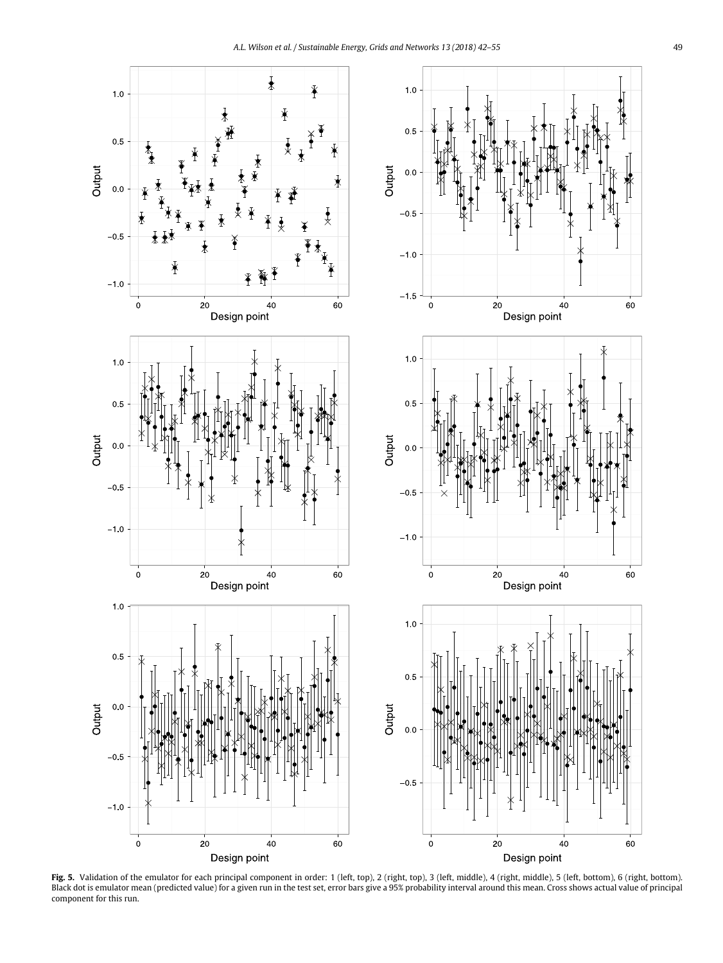<span id="page-8-0"></span>

Fig. 5. Validation of the emulator for each principal component in order: 1 (left, top), 2 (right, top), 3 (left, middle), 4 (right, middle), 5 (left, bottom), 6 (right, bottom). Black dot is emulator mean (predicted value) for a given run in the test set, error bars give a 95% probability interval around this mean. Cross shows actual value of principal component for this run.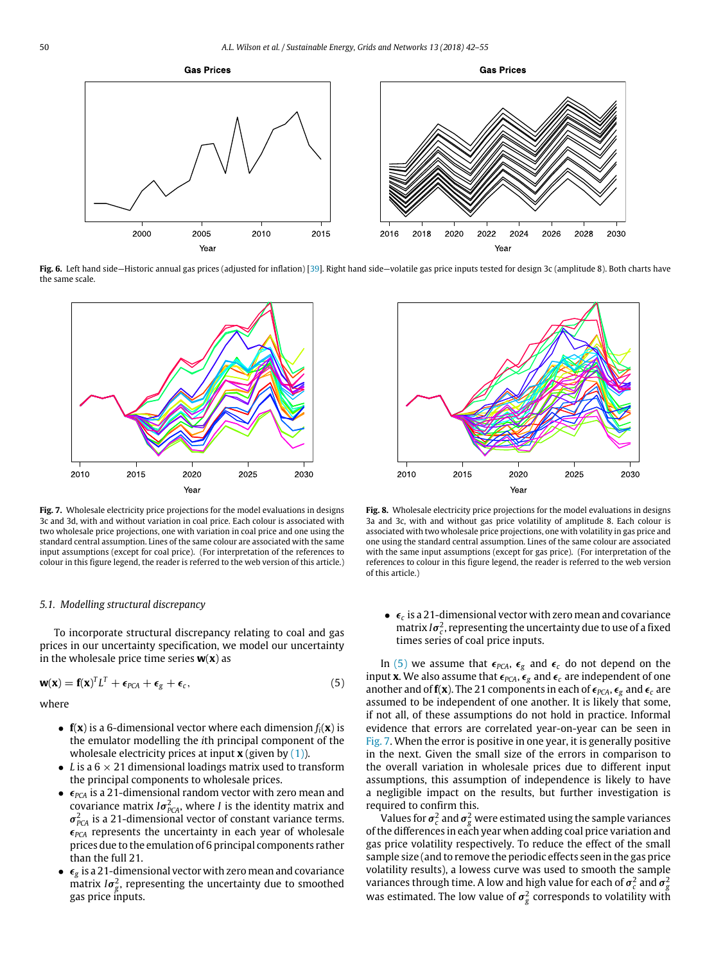<span id="page-9-0"></span>

**Fig. 6.** Left hand side—Historic annual gas prices (adjusted for inflation) [\[39\]](#page-14-1). Right hand side—volatile gas price inputs tested for design 3c (amplitude 8). Both charts have the same scale.

<span id="page-9-1"></span>

Fig. 7. Wholesale electricity price projections for the model evaluations in designs 3c and 3d, with and without variation in coal price. Each colour is associated with two wholesale price projections, one with variation in coal price and one using the standard central assumption. Lines of the same colour are associated with the same input assumptions (except for coal price). (For interpretation of the references to colour in this figure legend, the reader is referred to the web version of this article.)

#### *5.1. Modelling structural discrepancy*

To incorporate structural discrepancy relating to coal and gas prices in our uncertainty specification, we model our uncertainty in the wholesale price time series **w**(**x**) as

<span id="page-9-3"></span>
$$
\mathbf{w}(\mathbf{x}) = \mathbf{f}(\mathbf{x})^T L^T + \boldsymbol{\epsilon}_{PCA} + \boldsymbol{\epsilon}_g + \boldsymbol{\epsilon}_c,\tag{5}
$$

where

- **f**(**x**) is a 6-dimensional vector where each dimension *fi*(**x**) is the emulator modelling the *i*th principal component of the wholesale electricity prices at input **x** (given by [\(1\)\)](#page-5-2).
- *L* is a  $6 \times 21$  dimensional loadings matrix used to transform the principal components to wholesale prices.
- $\epsilon_{PCA}$  is a 21-dimensional random vector with zero mean and covariance matrix  $I\sigma_{PCA}^2$ , where *I* is the identity matrix and  $\sigma^2_{PCA}$  is a 21-dimensional vector of constant variance terms.  $\epsilon_{PCA}$  represents the uncertainty in each year of wholesale prices due to the emulation of 6 principal components rather than the full 21.
- $\bullet$   $\epsilon_g$  is a 21-dimensional vector with zero mean and covariance matrix  $I\sigma_g^2$ , representing the uncertainty due to smoothed gas price inputs.

<span id="page-9-2"></span>

**Fig. 8.** Wholesale electricity price projections for the model evaluations in designs 3a and 3c, with and without gas price volatility of amplitude 8. Each colour is associated with two wholesale price projections, one with volatility in gas price and one using the standard central assumption. Lines of the same colour are associated with the same input assumptions (except for gas price). (For interpretation of the references to colour in this figure legend, the reader is referred to the web version of this article.)

 $\bullet$   $\epsilon_c$  is a 21-dimensional vector with zero mean and covariance matrix  $I\sigma_c^2$ , representing the uncertainty due to use of a fixed times series of coal price inputs.

In [\(5\)](#page-9-3) we assume that  $\epsilon_{PCA}$ ,  $\epsilon_g$  and  $\epsilon_c$  do not depend on the input **x**. We also assume that  $\epsilon_{PCA}$ ,  $\epsilon_g$  and  $\epsilon_c$  are independent of one another and of  $f(x)$ . The 21 components in each of  $\epsilon_{PCA}$ ,  $\epsilon_g$  and  $\epsilon_c$  are assumed to be independent of one another. It is likely that some, if not all, of these assumptions do not hold in practice. Informal evidence that errors are correlated year-on-year can be seen in [Fig. 7.](#page-9-1) When the error is positive in one year, it is generally positive in the next. Given the small size of the errors in comparison to the overall variation in wholesale prices due to different input assumptions, this assumption of independence is likely to have a negligible impact on the results, but further investigation is required to confirm this.

Values for  $\sigma_c^2$  and  $\sigma_g^2$  were estimated using the sample variances of the differences in each year when adding coal price variation and gas price volatility respectively. To reduce the effect of the small sample size (and to remove the periodic effects seen in the gas price volatility results), a lowess curve was used to smooth the sample variances through time. A low and high value for each of  $\sigma_c^2$  and  $\sigma_g^2$ was estimated. The low value of  $\sigma_g^2$  corresponds to volatility with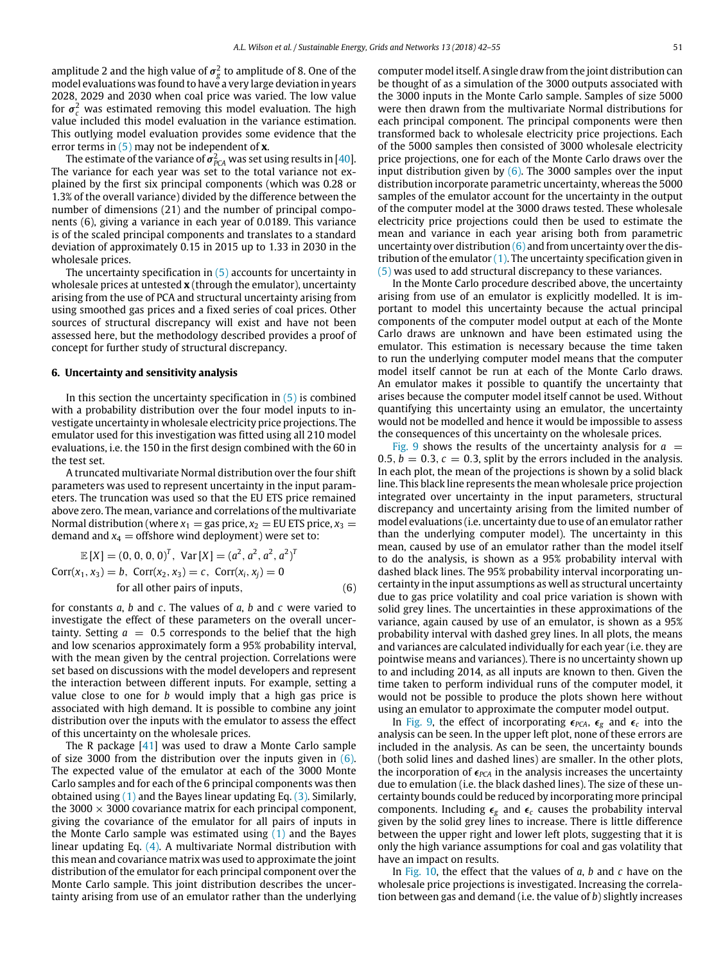amplitude 2 and the high value of  $\sigma_g^2$  to amplitude of 8. One of the model evaluations was found to have a very large deviation in years 2028, 2029 and 2030 when coal price was varied. The low value for  $\sigma_c^2$  was estimated removing this model evaluation. The high value included this model evaluation in the variance estimation. This outlying model evaluation provides some evidence that the error terms in [\(5\)](#page-9-3) may not be independent of **x**.

The estimate of the variance of  $\sigma^2_{PCA}$  was set using results in [\[40\]](#page-14-2). The variance for each year was set to the total variance not explained by the first six principal components (which was 0.28 or 1.3% of the overall variance) divided by the difference between the number of dimensions (21) and the number of principal components (6), giving a variance in each year of 0.0189. This variance is of the scaled principal components and translates to a standard deviation of approximately 0.15 in 2015 up to 1.33 in 2030 in the wholesale prices.

The uncertainty specification in  $(5)$  accounts for uncertainty in wholesale prices at untested **x** (through the emulator), uncertainty arising from the use of PCA and structural uncertainty arising from using smoothed gas prices and a fixed series of coal prices. Other sources of structural discrepancy will exist and have not been assessed here, but the methodology described provides a proof of concept for further study of structural discrepancy.

### <span id="page-10-0"></span>**6. Uncertainty and sensitivity analysis**

In this section the uncertainty specification in  $(5)$  is combined with a probability distribution over the four model inputs to investigate uncertainty in wholesale electricity price projections. The emulator used for this investigation was fitted using all 210 model evaluations, i.e. the 150 in the first design combined with the 60 in the test set.

A truncated multivariate Normal distribution over the four shift parameters was used to represent uncertainty in the input parameters. The truncation was used so that the EU ETS price remained above zero. The mean, variance and correlations of the multivariate Normal distribution (where  $x_1 =$  gas price,  $x_2 =$  EU ETS price,  $x_3 =$ demand and  $x_4$  = offshore wind deployment) were set to:

<span id="page-10-1"></span>
$$
\mathbb{E}[X] = (0, 0, 0, 0)^{T}, \text{ Var}[X] = (a^{2}, a^{2}, a^{2}, a^{2})^{T}
$$
  
Corr( $x_1, x_3$ ) = b, Corr( $x_2, x_3$ ) = c, Corr( $x_i, x_j$ ) = 0  
for all other pairs of inputs, (6)

for constants *a*, *b* and *c*. The values of *a*, *b* and *c* were varied to investigate the effect of these parameters on the overall uncertainty. Setting  $a = 0.5$  corresponds to the belief that the high and low scenarios approximately form a 95% probability interval, with the mean given by the central projection. Correlations were set based on discussions with the model developers and represent the interaction between different inputs. For example, setting a value close to one for *b* would imply that a high gas price is associated with high demand. It is possible to combine any joint distribution over the inputs with the emulator to assess the effect of this uncertainty on the wholesale prices.

The R package [\[41\]](#page-14-3) was used to draw a Monte Carlo sample of size 3000 from the distribution over the inputs given in  $(6)$ . The expected value of the emulator at each of the 3000 Monte Carlo samples and for each of the 6 principal components was then obtained using  $(1)$  and the Bayes linear updating Eq.  $(3)$ . Similarly, the 3000  $\times$  3000 covariance matrix for each principal component, giving the covariance of the emulator for all pairs of inputs in the Monte Carlo sample was estimated using  $(1)$  and the Bayes linear updating Eq. [\(4\).](#page-6-2) A multivariate Normal distribution with this mean and covariance matrix was used to approximate the joint distribution of the emulator for each principal component over the Monte Carlo sample. This joint distribution describes the uncertainty arising from use of an emulator rather than the underlying computer model itself. A single draw from the joint distribution can be thought of as a simulation of the 3000 outputs associated with the 3000 inputs in the Monte Carlo sample. Samples of size 5000 were then drawn from the multivariate Normal distributions for each principal component. The principal components were then transformed back to wholesale electricity price projections. Each of the 5000 samples then consisted of 3000 wholesale electricity price projections, one for each of the Monte Carlo draws over the input distribution given by  $(6)$ . The 3000 samples over the input distribution incorporate parametric uncertainty, whereas the 5000 samples of the emulator account for the uncertainty in the output of the computer model at the 3000 draws tested. These wholesale electricity price projections could then be used to estimate the mean and variance in each year arising both from parametric uncertainty over distribution  $(6)$  and from uncertainty over the distribution of the emulator  $(1)$ . The uncertainty specification given in [\(5\)](#page-9-3) was used to add structural discrepancy to these variances.

In the Monte Carlo procedure described above, the uncertainty arising from use of an emulator is explicitly modelled. It is important to model this uncertainty because the actual principal components of the computer model output at each of the Monte Carlo draws are unknown and have been estimated using the emulator. This estimation is necessary because the time taken to run the underlying computer model means that the computer model itself cannot be run at each of the Monte Carlo draws. An emulator makes it possible to quantify the uncertainty that arises because the computer model itself cannot be used. Without quantifying this uncertainty using an emulator, the uncertainty would not be modelled and hence it would be impossible to assess the consequences of this uncertainty on the wholesale prices.

[Fig. 9](#page-11-0) shows the results of the uncertainty analysis for  $a =$ 0.5,  $b = 0.3$ ,  $c = 0.3$ , split by the errors included in the analysis. In each plot, the mean of the projections is shown by a solid black line. This black line represents the mean wholesale price projection integrated over uncertainty in the input parameters, structural discrepancy and uncertainty arising from the limited number of model evaluations (i.e. uncertainty due to use of an emulator rather than the underlying computer model). The uncertainty in this mean, caused by use of an emulator rather than the model itself to do the analysis, is shown as a 95% probability interval with dashed black lines. The 95% probability interval incorporating uncertainty in the input assumptions as well as structural uncertainty due to gas price volatility and coal price variation is shown with solid grey lines. The uncertainties in these approximations of the variance, again caused by use of an emulator, is shown as a 95% probability interval with dashed grey lines. In all plots, the means and variances are calculated individually for each year (i.e. they are pointwise means and variances). There is no uncertainty shown up to and including 2014, as all inputs are known to then. Given the time taken to perform individual runs of the computer model, it would not be possible to produce the plots shown here without using an emulator to approximate the computer model output.

In [Fig. 9,](#page-11-0) the effect of incorporating  $\epsilon_{PCA}$ ,  $\epsilon_g$  and  $\epsilon_c$  into the analysis can be seen. In the upper left plot, none of these errors are included in the analysis. As can be seen, the uncertainty bounds (both solid lines and dashed lines) are smaller. In the other plots, the incorporation of  $\epsilon_{PCA}$  in the analysis increases the uncertainty due to emulation (i.e. the black dashed lines). The size of these uncertainty bounds could be reduced by incorporating more principal components. Including  $\epsilon_g$  and  $\epsilon_c$  causes the probability interval given by the solid grey lines to increase. There is little difference between the upper right and lower left plots, suggesting that it is only the high variance assumptions for coal and gas volatility that have an impact on results.

In [Fig. 10,](#page-11-1) the effect that the values of *a*, *b* and *c* have on the wholesale price projections is investigated. Increasing the correlation between gas and demand (i.e. the value of *b*) slightly increases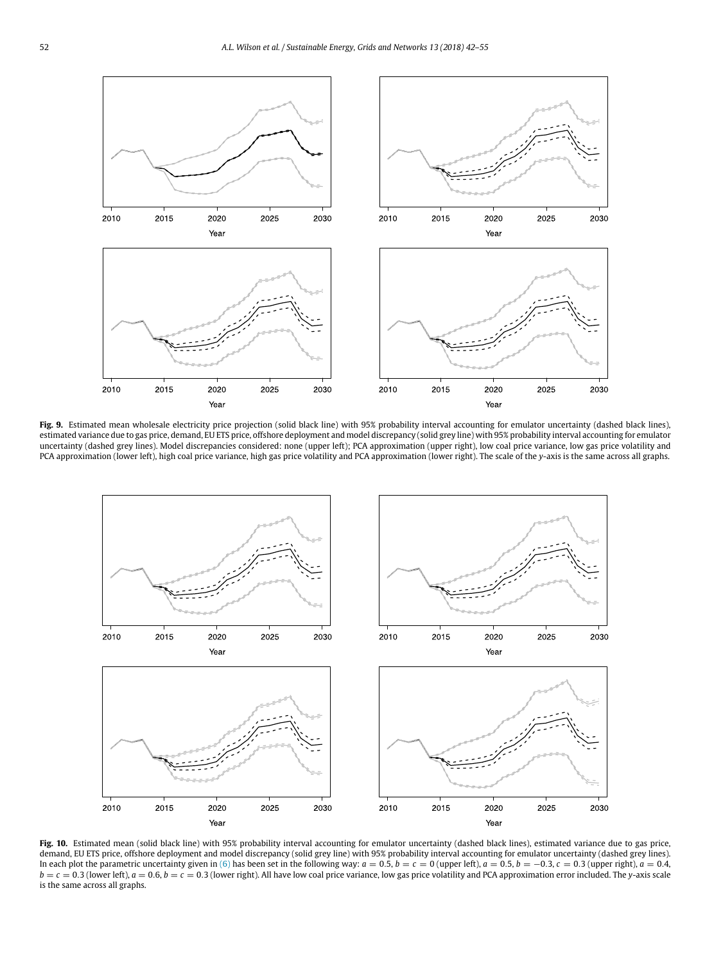<span id="page-11-0"></span>

Fig. 9. Estimated mean wholesale electricity price projection (solid black line) with 95% probability interval accounting for emulator uncertainty (dashed black lines), estimated variance due to gas price, demand, EU ETS price, offshore deployment and model discrepancy (solid grey line) with 95% probability interval accounting for emulator uncertainty (dashed grey lines). Model discrepancies considered: none (upper left); PCA approximation (upper right), low coal price variance, low gas price volatility and PCA approximation (lower left), high coal price variance, high gas price volatility and PCA approximation (lower right). The scale of the *y*-axis is the same across all graphs.

<span id="page-11-1"></span>

Fig. 10. Estimated mean (solid black line) with 95% probability interval accounting for emulator uncertainty (dashed black lines), estimated variance due to gas price, demand, EU ETS price, offshore deployment and model discrepancy (solid grey line) with 95% probability interval accounting for emulator uncertainty (dashed grey lines). In each plot the parametric uncertainty given in [\(6\)](#page-10-1) has been set in the following way:  $a = 0.5$ ,  $b = c = 0$  (upper left),  $a = 0.5$ ,  $b = -0.3$ ,  $c = 0.3$  (upper right),  $a = 0.4$ ,  $b = c = 0.3$  (lower left),  $a = 0.6$ ,  $b = c = 0.3$  (lower right). All have low coal price variance, low gas price volatility and PCA approximation error included. The *y*-axis scale is the same across all graphs.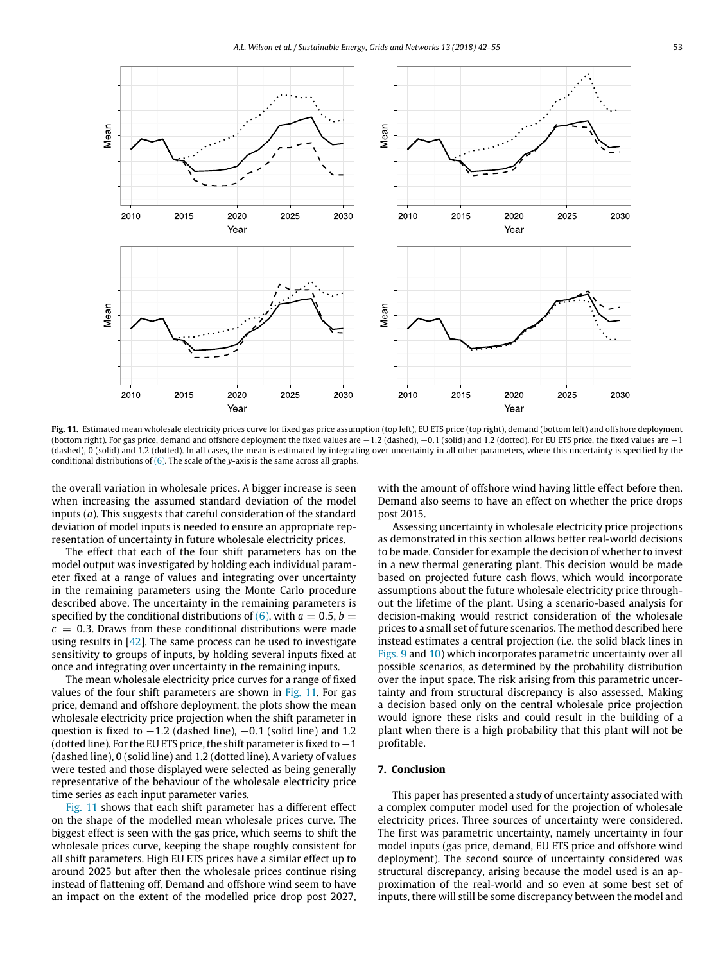<span id="page-12-0"></span>

Fig. 11. Estimated mean wholesale electricity prices curve for fixed gas price assumption (top left), EU ETS price (top right), demand (bottom left) and offshore deployment (bottom right). For gas price, demand and offshore deployment the fixed values are −1.2 (dashed), −0.1 (solid) and 1.2 (dotted). For EU ETS price, the fixed values are −1 (dashed), 0 (solid) and 1.2 (dotted). In all cases, the mean is estimated by integrating over uncertainty in all other parameters, where this uncertainty is specified by the conditional distributions of [\(6\).](#page-10-1) The scale of the *y*-axis is the same across all graphs.

the overall variation in wholesale prices. A bigger increase is seen when increasing the assumed standard deviation of the model inputs (*a*). This suggests that careful consideration of the standard deviation of model inputs is needed to ensure an appropriate representation of uncertainty in future wholesale electricity prices.

The effect that each of the four shift parameters has on the model output was investigated by holding each individual parameter fixed at a range of values and integrating over uncertainty in the remaining parameters using the Monte Carlo procedure described above. The uncertainty in the remaining parameters is specified by the conditional distributions of  $(6)$ , with  $a = 0.5$ ,  $b =$  $c = 0.3$ . Draws from these conditional distributions were made using results in [\[42\]](#page-14-4). The same process can be used to investigate sensitivity to groups of inputs, by holding several inputs fixed at once and integrating over uncertainty in the remaining inputs.

The mean wholesale electricity price curves for a range of fixed values of the four shift parameters are shown in [Fig. 11.](#page-12-0) For gas price, demand and offshore deployment, the plots show the mean wholesale electricity price projection when the shift parameter in question is fixed to  $-1.2$  (dashed line),  $-0.1$  (solid line) and 1.2 (dotted line). For the EU ETS price, the shift parameter is fixed to−1 (dashed line), 0 (solid line) and 1.2 (dotted line). A variety of values were tested and those displayed were selected as being generally representative of the behaviour of the wholesale electricity price time series as each input parameter varies.

[Fig. 11](#page-12-0) shows that each shift parameter has a different effect on the shape of the modelled mean wholesale prices curve. The biggest effect is seen with the gas price, which seems to shift the wholesale prices curve, keeping the shape roughly consistent for all shift parameters. High EU ETS prices have a similar effect up to around 2025 but after then the wholesale prices continue rising instead of flattening off. Demand and offshore wind seem to have an impact on the extent of the modelled price drop post 2027,

with the amount of offshore wind having little effect before then. Demand also seems to have an effect on whether the price drops post 2015.

Assessing uncertainty in wholesale electricity price projections as demonstrated in this section allows better real-world decisions to be made. Consider for example the decision of whether to invest in a new thermal generating plant. This decision would be made based on projected future cash flows, which would incorporate assumptions about the future wholesale electricity price throughout the lifetime of the plant. Using a scenario-based analysis for decision-making would restrict consideration of the wholesale prices to a small set of future scenarios. The method described here instead estimates a central projection (i.e. the solid black lines in [Figs. 9](#page-11-0) and [10\)](#page-11-1) which incorporates parametric uncertainty over all possible scenarios, as determined by the probability distribution over the input space. The risk arising from this parametric uncertainty and from structural discrepancy is also assessed. Making a decision based only on the central wholesale price projection would ignore these risks and could result in the building of a plant when there is a high probability that this plant will not be profitable.

## **7. Conclusion**

This paper has presented a study of uncertainty associated with a complex computer model used for the projection of wholesale electricity prices. Three sources of uncertainty were considered. The first was parametric uncertainty, namely uncertainty in four model inputs (gas price, demand, EU ETS price and offshore wind deployment). The second source of uncertainty considered was structural discrepancy, arising because the model used is an approximation of the real-world and so even at some best set of inputs, there will still be some discrepancy between the model and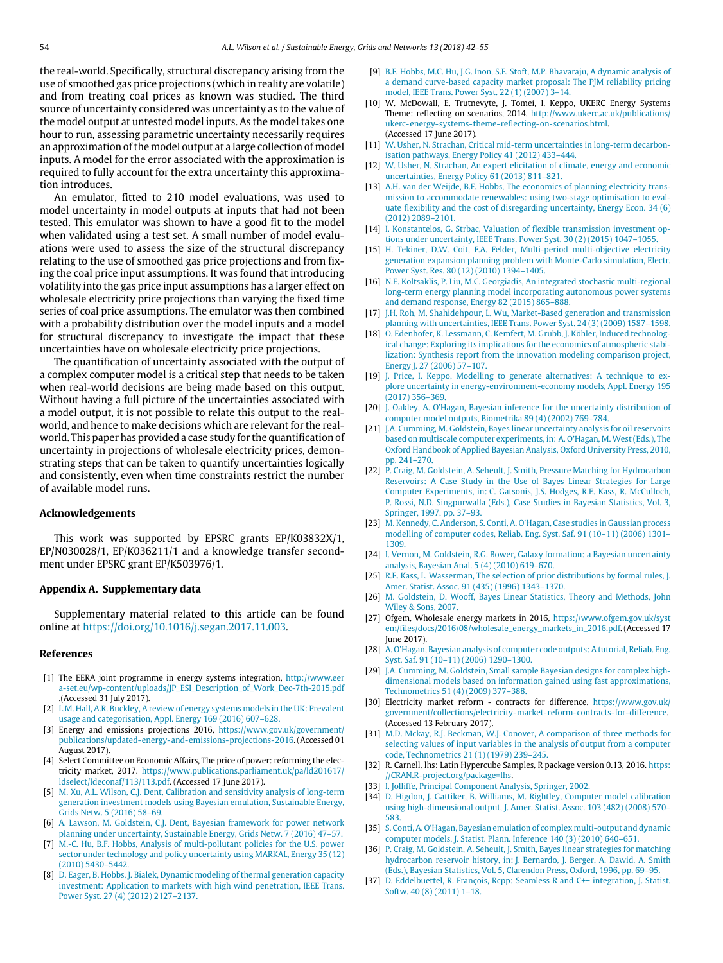the real-world. Specifically, structural discrepancy arising from the use of smoothed gas price projections (which in reality are volatile) and from treating coal prices as known was studied. The third source of uncertainty considered was uncertainty as to the value of the model output at untested model inputs. As the model takes one hour to run, assessing parametric uncertainty necessarily requires an approximation of the model output at a large collection of model inputs. A model for the error associated with the approximation is required to fully account for the extra uncertainty this approximation introduces.

An emulator, fitted to 210 model evaluations, was used to model uncertainty in model outputs at inputs that had not been tested. This emulator was shown to have a good fit to the model when validated using a test set. A small number of model evaluations were used to assess the size of the structural discrepancy relating to the use of smoothed gas price projections and from fixing the coal price input assumptions. It was found that introducing volatility into the gas price input assumptions has a larger effect on wholesale electricity price projections than varying the fixed time series of coal price assumptions. The emulator was then combined with a probability distribution over the model inputs and a model for structural discrepancy to investigate the impact that these uncertainties have on wholesale electricity price projections.

The quantification of uncertainty associated with the output of a complex computer model is a critical step that needs to be taken when real-world decisions are being made based on this output. Without having a full picture of the uncertainties associated with a model output, it is not possible to relate this output to the realworld, and hence to make decisions which are relevant for the realworld. This paper has provided a case study for the quantification of uncertainty in projections of wholesale electricity prices, demonstrating steps that can be taken to quantify uncertainties logically and consistently, even when time constraints restrict the number of available model runs.

## **Acknowledgements**

This work was supported by EPSRC grants EP/K03832X/1, EP/N030028/1, EP/K036211/1 and a knowledge transfer secondment under EPSRC grant EP/K503976/1.

#### **Appendix A. Supplementary data**

Supplementary material related to this article can be found online at [https://doi.org/10.1016/j.segan.2017.11.003.](https://doi.org/10.1016/j.segan.2017.11.003)

#### **References**

- <span id="page-13-0"></span>[1] The EERA joint programme in energy systems integration, [http://www.eer](http://www.eera-set.eu/wp-content/uploads/JP_ESI_Description_of_Work_Dec-7th-2015.pdf) [a-set.eu/wp-content/uploads/JP\\_ESI\\_Description\\_of\\_Work\\_Dec-7th-2015.pdf](http://www.eera-set.eu/wp-content/uploads/JP_ESI_Description_of_Work_Dec-7th-2015.pdf) .(Accessed 31 July 2017).
- <span id="page-13-1"></span>[2] [L.M. Hall, A.R. Buckley, A review of energy systems models in the UK: Prevalent](http://refhub.elsevier.com/S2352-4677(17)30047-4/sb2) [usage and categorisation, Appl. Energy 169 \(2016\) 607–628.](http://refhub.elsevier.com/S2352-4677(17)30047-4/sb2)
- <span id="page-13-2"></span>[3] Energy and emissions projections 2016, [https://www.gov.uk/government/](https://www.gov.uk/government/publications/updated-energy-and-emissions-projections-2016) [publications/updated-energy-and-emissions-projections-2016.](https://www.gov.uk/government/publications/updated-energy-and-emissions-projections-2016) (Accessed 01 August 2017).
- <span id="page-13-3"></span>[4] Select Committee on Economic Affairs, The price of power: reforming the electricity market, 2017. [https://www.publications.parliament.uk/pa/ld201617/](https://www.publications.parliament.uk/pa/ld201617/ldselect/ldeconaf/113/113.pdf) [ldselect/ldeconaf/113/113.pdf.](https://www.publications.parliament.uk/pa/ld201617/ldselect/ldeconaf/113/113.pdf) (Accessed 17 June 2017).
- <span id="page-13-4"></span>[5] [M. Xu, A.L. Wilson, C.J. Dent, Calibration and sensitivity analysis of long-term](http://refhub.elsevier.com/S2352-4677(17)30047-4/sb5) [generation investment models using Bayesian emulation, Sustainable Energy,](http://refhub.elsevier.com/S2352-4677(17)30047-4/sb5) [Grids Netw. 5 \(2016\) 58–69.](http://refhub.elsevier.com/S2352-4677(17)30047-4/sb5)
- <span id="page-13-5"></span>[6] [A. Lawson, M. Goldstein, C.J. Dent, Bayesian framework for power network](http://refhub.elsevier.com/S2352-4677(17)30047-4/sb6) [planning under uncertainty, Sustainable Energy, Grids Netw. 7 \(2016\) 47–57.](http://refhub.elsevier.com/S2352-4677(17)30047-4/sb6)
- <span id="page-13-6"></span>[7] [M.-C. Hu, B.F. Hobbs, Analysis of multi-pollutant policies for the U.S. power](http://refhub.elsevier.com/S2352-4677(17)30047-4/sb7) [sector under technology and policy uncertainty using MARKAL, Energy 35 \(12\)](http://refhub.elsevier.com/S2352-4677(17)30047-4/sb7) [\(2010\) 5430–5442.](http://refhub.elsevier.com/S2352-4677(17)30047-4/sb7)
- [8] [D. Eager, B. Hobbs, J. Bialek, Dynamic modeling of thermal generation capacity](http://refhub.elsevier.com/S2352-4677(17)30047-4/sb8) [investment: Application to markets with high wind penetration, IEEE Trans.](http://refhub.elsevier.com/S2352-4677(17)30047-4/sb8) [Power Syst. 27 \(4\) \(2012\) 2127–2137.](http://refhub.elsevier.com/S2352-4677(17)30047-4/sb8)
- <span id="page-13-7"></span>[9] [B.F. Hobbs, M.C. Hu, J.G. Inon, S.E. Stoft, M.P. Bhavaraju, A dynamic analysis of](http://refhub.elsevier.com/S2352-4677(17)30047-4/sb9) [a demand curve-based capacity market proposal: The PJM reliability pricing](http://refhub.elsevier.com/S2352-4677(17)30047-4/sb9) [model, IEEE Trans. Power Syst. 22 \(1\) \(2007\) 3–14.](http://refhub.elsevier.com/S2352-4677(17)30047-4/sb9)
- <span id="page-13-8"></span>[10] W. McDowall, E. Trutnevyte, J. Tomei, I. Keppo, UKERC Energy Systems Theme: reflecting on scenarios, 2014. [http://www.ukerc.ac.uk/publications/](http://www.ukerc.ac.uk/publications/ukerc-energy-systems-theme-reflecting-on-scenarios.html) [ukerc-energy-systems-theme-reflecting-on-scenarios.html.](http://www.ukerc.ac.uk/publications/ukerc-energy-systems-theme-reflecting-on-scenarios.html) (Accessed 17 June 2017).
- <span id="page-13-9"></span>[\[](http://refhub.elsevier.com/S2352-4677(17)30047-4/sb11)11] [W. Usher, N. Strachan, Critical mid-term uncertainties in long-term decarbon](http://refhub.elsevier.com/S2352-4677(17)30047-4/sb11)[isation pathways, Energy Policy 41 \(2012\) 433–444.](http://refhub.elsevier.com/S2352-4677(17)30047-4/sb11)
- <span id="page-13-10"></span>[\[](http://refhub.elsevier.com/S2352-4677(17)30047-4/sb12)12] [W. Usher, N. Strachan, An expert elicitation of climate, energy and economic](http://refhub.elsevier.com/S2352-4677(17)30047-4/sb12) [uncertainties, Energy Policy 61 \(2013\) 811–821.](http://refhub.elsevier.com/S2352-4677(17)30047-4/sb12)
- <span id="page-13-11"></span>[\[](http://refhub.elsevier.com/S2352-4677(17)30047-4/sb13)13] [A.H. van der Weijde, B.F. Hobbs, The economics of planning electricity trans](http://refhub.elsevier.com/S2352-4677(17)30047-4/sb13)[mission to accommodate renewables: using two-stage optimisation to eval](http://refhub.elsevier.com/S2352-4677(17)30047-4/sb13)[uate flexibility and the cost of disregarding uncertainty, Energy Econ. 34 \(6\)](http://refhub.elsevier.com/S2352-4677(17)30047-4/sb13) [\(2012\) 2089–2101.](http://refhub.elsevier.com/S2352-4677(17)30047-4/sb13)
- <span id="page-13-12"></span>[\[](http://refhub.elsevier.com/S2352-4677(17)30047-4/sb14)14] [I. Konstantelos, G. Strbac, Valuation of flexible transmission investment op](http://refhub.elsevier.com/S2352-4677(17)30047-4/sb14)[tions under uncertainty, IEEE Trans. Power Syst. 30 \(2\) \(2015\) 1047–1055.](http://refhub.elsevier.com/S2352-4677(17)30047-4/sb14)
- <span id="page-13-13"></span>[\[](http://refhub.elsevier.com/S2352-4677(17)30047-4/sb15)15] [H. Tekiner, D.W. Coit, F.A. Felder, Multi-period multi-objective electricity](http://refhub.elsevier.com/S2352-4677(17)30047-4/sb15) [generation expansion planning problem with Monte-Carlo simulation, Electr.](http://refhub.elsevier.com/S2352-4677(17)30047-4/sb15) [Power Syst. Res. 80 \(12\) \(2010\) 1394–1405.](http://refhub.elsevier.com/S2352-4677(17)30047-4/sb15)
- <span id="page-13-14"></span>[\[](http://refhub.elsevier.com/S2352-4677(17)30047-4/sb16)16] [N.E. Koltsaklis, P. Liu, M.C. Georgiadis, An integrated stochastic multi-regional](http://refhub.elsevier.com/S2352-4677(17)30047-4/sb16) [long-term energy planning model incorporating autonomous power systems](http://refhub.elsevier.com/S2352-4677(17)30047-4/sb16) [and demand response, Energy 82 \(2015\) 865–888.](http://refhub.elsevier.com/S2352-4677(17)30047-4/sb16)
- <span id="page-13-15"></span>[\[](http://refhub.elsevier.com/S2352-4677(17)30047-4/sb17)17] [J.H. Roh, M. Shahidehpour, L. Wu, Market-Based generation and transmission](http://refhub.elsevier.com/S2352-4677(17)30047-4/sb17) [planning with uncertainties, IEEE Trans. Power Syst. 24 \(3\) \(2009\) 1587–1598.](http://refhub.elsevier.com/S2352-4677(17)30047-4/sb17)
- <span id="page-13-16"></span>[\[](http://refhub.elsevier.com/S2352-4677(17)30047-4/sb18)18] [O. Edenhofer, K. Lessmann, C. Kemfert, M. Grubb, J. Köhler, Induced technolog](http://refhub.elsevier.com/S2352-4677(17)30047-4/sb18)[ical change: Exploring its implications for the economics of atmospheric stabi](http://refhub.elsevier.com/S2352-4677(17)30047-4/sb18)[lization: Synthesis report from the innovation modeling comparison project,](http://refhub.elsevier.com/S2352-4677(17)30047-4/sb18) [Energy J. 27 \(2006\) 57–107.](http://refhub.elsevier.com/S2352-4677(17)30047-4/sb18)
- <span id="page-13-17"></span>[\[](http://refhub.elsevier.com/S2352-4677(17)30047-4/sb19)19] [J. Price, I. Keppo, Modelling to generate alternatives: A technique to ex](http://refhub.elsevier.com/S2352-4677(17)30047-4/sb19)[plore uncertainty in energy-environment-economy models, Appl. Energy 195](http://refhub.elsevier.com/S2352-4677(17)30047-4/sb19) [\(2017\) 356–369.](http://refhub.elsevier.com/S2352-4677(17)30047-4/sb19)
- <span id="page-13-18"></span>[\[](http://refhub.elsevier.com/S2352-4677(17)30047-4/sb20)20] [J. Oakley, A. O'Hagan, Bayesian inference for the uncertainty distribution of](http://refhub.elsevier.com/S2352-4677(17)30047-4/sb20) [computer model outputs, Biometrika 89 \(4\) \(2002\) 769–784.](http://refhub.elsevier.com/S2352-4677(17)30047-4/sb20)
- <span id="page-13-34"></span>[\[](http://refhub.elsevier.com/S2352-4677(17)30047-4/sb21)21] [J.A. Cumming, M. Goldstein, Bayes linear uncertainty analysis for oil reservoirs](http://refhub.elsevier.com/S2352-4677(17)30047-4/sb21) [based on multiscale computer experiments, in: A. O'Hagan, M. West \(Eds.\), The](http://refhub.elsevier.com/S2352-4677(17)30047-4/sb21) [Oxford Handbook of Applied Bayesian Analysis, Oxford University Press, 2010,](http://refhub.elsevier.com/S2352-4677(17)30047-4/sb21) [pp. 241–270.](http://refhub.elsevier.com/S2352-4677(17)30047-4/sb21)
- <span id="page-13-33"></span>[\[](http://refhub.elsevier.com/S2352-4677(17)30047-4/sb22)22] [P. Craig, M. Goldstein, A. Seheult, J. Smith, Pressure Matching for Hydrocarbon](http://refhub.elsevier.com/S2352-4677(17)30047-4/sb22) [Reservoirs: A Case Study in the Use of Bayes Linear Strategies for Large](http://refhub.elsevier.com/S2352-4677(17)30047-4/sb22) [Computer Experiments, in: C. Gatsonis, J.S. Hodges, R.E. Kass, R. McCulloch,](http://refhub.elsevier.com/S2352-4677(17)30047-4/sb22) [P. Rossi, N.D. Singpurwalla \(Eds.\), Case Studies in Bayesian Statistics, Vol. 3,](http://refhub.elsevier.com/S2352-4677(17)30047-4/sb22) [Springer, 1997, pp. 37–93.](http://refhub.elsevier.com/S2352-4677(17)30047-4/sb22)
- <span id="page-13-19"></span>[\[](http://refhub.elsevier.com/S2352-4677(17)30047-4/sb23)23] [M. Kennedy, C. Anderson, S. Conti, A. O'Hagan, Case studies in Gaussian process](http://refhub.elsevier.com/S2352-4677(17)30047-4/sb23) [modelling of computer codes, Reliab. Eng. Syst. Saf. 91 \(10–11\) \(2006\) 1301–](http://refhub.elsevier.com/S2352-4677(17)30047-4/sb23) [1309.](http://refhub.elsevier.com/S2352-4677(17)30047-4/sb23)
- <span id="page-13-20"></span>[\[](http://refhub.elsevier.com/S2352-4677(17)30047-4/sb24)24] [I. Vernon, M. Goldstein, R.G. Bower, Galaxy formation: a Bayesian uncertainty](http://refhub.elsevier.com/S2352-4677(17)30047-4/sb24) [analysis, Bayesian Anal. 5 \(4\) \(2010\) 619–670.](http://refhub.elsevier.com/S2352-4677(17)30047-4/sb24)
- <span id="page-13-21"></span>[\[](http://refhub.elsevier.com/S2352-4677(17)30047-4/sb25)25] [R.E. Kass, L. Wasserman, The selection of prior distributions by formal rules, J.](http://refhub.elsevier.com/S2352-4677(17)30047-4/sb25) [Amer. Statist. Assoc. 91 \(435\) \(1996\) 1343–1370.](http://refhub.elsevier.com/S2352-4677(17)30047-4/sb25)
- <span id="page-13-22"></span>[\[](http://refhub.elsevier.com/S2352-4677(17)30047-4/sb26)26] [M. Goldstein, D. Wooff, Bayes Linear Statistics, Theory and Methods, John](http://refhub.elsevier.com/S2352-4677(17)30047-4/sb26) [Wiley & Sons, 2007.](http://refhub.elsevier.com/S2352-4677(17)30047-4/sb26)
- <span id="page-13-23"></span>[27] Ofgem, Wholesale energy markets in 2016, [https://www.ofgem.gov.uk/syst](https://www.ofgem.gov.uk/system/files/docs/2016/08/wholesale%5Fenergy%5Fmarkets%5Fin%5F2016.pdf) [em/files/docs/2016/08/wholesale\\_energy\\_markets\\_in\\_2016.pdf.](https://www.ofgem.gov.uk/system/files/docs/2016/08/wholesale%5Fenergy%5Fmarkets%5Fin%5F2016.pdf) (Accessed 17 June 2017).
- <span id="page-13-24"></span>[\[](http://refhub.elsevier.com/S2352-4677(17)30047-4/sb28)28] [A. O'Hagan, Bayesian analysis of computer code outputs: A tutorial, Reliab. Eng.](http://refhub.elsevier.com/S2352-4677(17)30047-4/sb28) [Syst. Saf. 91 \(10–11\) \(2006\) 1290–1300.](http://refhub.elsevier.com/S2352-4677(17)30047-4/sb28)
- <span id="page-13-25"></span>[\[](http://refhub.elsevier.com/S2352-4677(17)30047-4/sb29)29] [J.A. Cumming, M. Goldstein, Small sample Bayesian designs for complex high](http://refhub.elsevier.com/S2352-4677(17)30047-4/sb29)[dimensional models based on information gained using fast approximations,](http://refhub.elsevier.com/S2352-4677(17)30047-4/sb29) [Technometrics 51 \(4\) \(2009\) 377–388.](http://refhub.elsevier.com/S2352-4677(17)30047-4/sb29)
- <span id="page-13-26"></span>[\[](https://www.gov.uk/government/collections/electricity-market-reform-contracts-for-difference)30] Electricity market reform - contracts for difference. [https://www.gov.uk/](https://www.gov.uk/government/collections/electricity-market-reform-contracts-for-difference) [government/collections/electricity-market-reform-contracts-for-difference.](https://www.gov.uk/government/collections/electricity-market-reform-contracts-for-difference) (Accessed 13 February 2017).
- <span id="page-13-27"></span>[\[](http://refhub.elsevier.com/S2352-4677(17)30047-4/sb31)31] [M.D. Mckay, R.J. Beckman, W.J. Conover, A comparison of three methods for](http://refhub.elsevier.com/S2352-4677(17)30047-4/sb31) [selecting values of input variables in the analysis of output from a computer](http://refhub.elsevier.com/S2352-4677(17)30047-4/sb31) [code, Technometrics 21 \(1\) \(1979\) 239–245.](http://refhub.elsevier.com/S2352-4677(17)30047-4/sb31)
- <span id="page-13-28"></span>[\[](https://CRAN.R-project.org/package%3Dlhs)32] R. Carnell, lhs: Latin Hypercube Samples, R package version 0.13, 2016. [https:](https://CRAN.R-project.org/package%3Dlhs) [//CRAN.R-project.org/package=lhs.](https://CRAN.R-project.org/package%3Dlhs)
- <span id="page-13-29"></span>[33] [I. Jolliffe, Principal Component Analysis, Springer, 2002.](http://refhub.elsevier.com/S2352-4677(17)30047-4/sb33)
- <span id="page-13-30"></span>[\[](http://refhub.elsevier.com/S2352-4677(17)30047-4/sb34)34] [D. Higdon, J. Gattiker, B. Williams, M. Rightley, Computer model calibration](http://refhub.elsevier.com/S2352-4677(17)30047-4/sb34) [using high-dimensional output, J. Amer. Statist. Assoc. 103 \(482\) \(2008\) 570–](http://refhub.elsevier.com/S2352-4677(17)30047-4/sb34) [583.](http://refhub.elsevier.com/S2352-4677(17)30047-4/sb34)
- <span id="page-13-31"></span>[\[](http://refhub.elsevier.com/S2352-4677(17)30047-4/sb35)35] [S. Conti, A. O'Hagan, Bayesian emulation of complex multi-output and dynamic](http://refhub.elsevier.com/S2352-4677(17)30047-4/sb35) [computer models, J. Statist. Plann. Inference 140 \(3\) \(2010\) 640–651.](http://refhub.elsevier.com/S2352-4677(17)30047-4/sb35)
- <span id="page-13-32"></span>[\[](http://refhub.elsevier.com/S2352-4677(17)30047-4/sb36)36] [P. Craig, M. Goldstein, A. Seheult, J. Smith, Bayes linear strategies for matching](http://refhub.elsevier.com/S2352-4677(17)30047-4/sb36) [hydrocarbon reservoir history, in: J. Bernardo, J. Berger, A. Dawid, A. Smith](http://refhub.elsevier.com/S2352-4677(17)30047-4/sb36) [\(Eds.\), Bayesian Statistics, Vol. 5, Clarendon Press, Oxford, 1996, pp. 69–95.](http://refhub.elsevier.com/S2352-4677(17)30047-4/sb36)
- <span id="page-13-35"></span>[\[](http://refhub.elsevier.com/S2352-4677(17)30047-4/sb37)37] [D. Eddelbuettel, R. François, Rcpp: Seamless R and C++ integration, J. Statist.](http://refhub.elsevier.com/S2352-4677(17)30047-4/sb37) [Softw. 40 \(8\) \(2011\) 1–18.](http://refhub.elsevier.com/S2352-4677(17)30047-4/sb37)